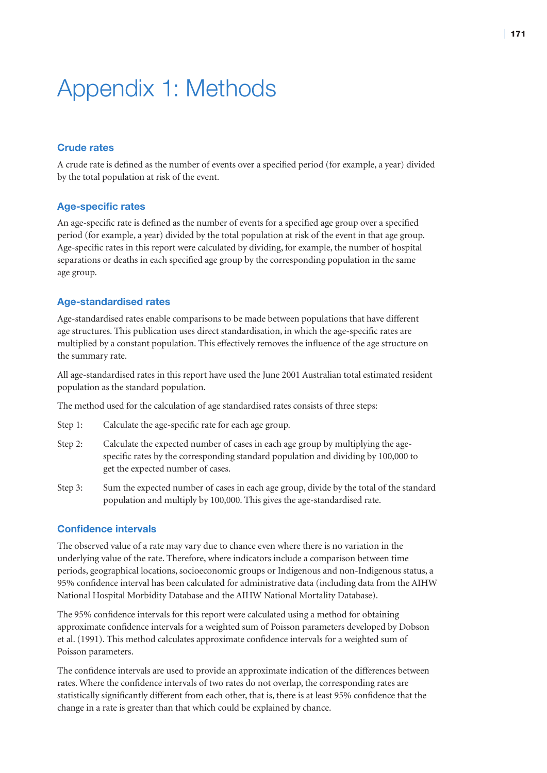## Appendix 1: Methods

## **Crude rates**

A crude rate is defined as the number of events over a specified period (for example, a year) divided by the total population at risk of the event.

## **Age-specific rates**

An age-specific rate is defined as the number of events for a specified age group over a specified period (for example, a year) divided by the total population at risk of the event in that age group. Age-specific rates in this report were calculated by dividing, for example, the number of hospital separations or deaths in each specified age group by the corresponding population in the same age group.

## **Age-standardised rates**

Age-standardised rates enable comparisons to be made between populations that have different age structures. This publication uses direct standardisation, in which the age-specific rates are multiplied by a constant population. This effectively removes the influence of the age structure on the summary rate.

All age-standardised rates in this report have used the June 2001 Australian total estimated resident population as the standard population.

The method used for the calculation of age standardised rates consists of three steps:

- Step 1: Calculate the age-specific rate for each age group.
- Step 2: Calculate the expected number of cases in each age group by multiplying the agespecific rates by the corresponding standard population and dividing by 100,000 to get the expected number of cases.
- Step 3: Sum the expected number of cases in each age group, divide by the total of the standard population and multiply by 100,000. This gives the age-standardised rate.

## **Confidence intervals**

The observed value of a rate may vary due to chance even where there is no variation in the underlying value of the rate. Therefore, where indicators include a comparison between time periods, geographical locations, socioeconomic groups or Indigenous and non-Indigenous status, a 95% confidence interval has been calculated for administrative data (including data from the AIHW National Hospital Morbidity Database and the AIHW National Mortality Database).

The 95% confidence intervals for this report were calculated using a method for obtaining approximate confidence intervals for a weighted sum of Poisson parameters developed by Dobson et al. (1991). This method calculates approximate confidence intervals for a weighted sum of Poisson parameters.

The confidence intervals are used to provide an approximate indication of the differences between rates. Where the confidence intervals of two rates do not overlap, the corresponding rates are statistically significantly different from each other, that is, there is at least 95% confidence that the change in a rate is greater than that which could be explained by chance.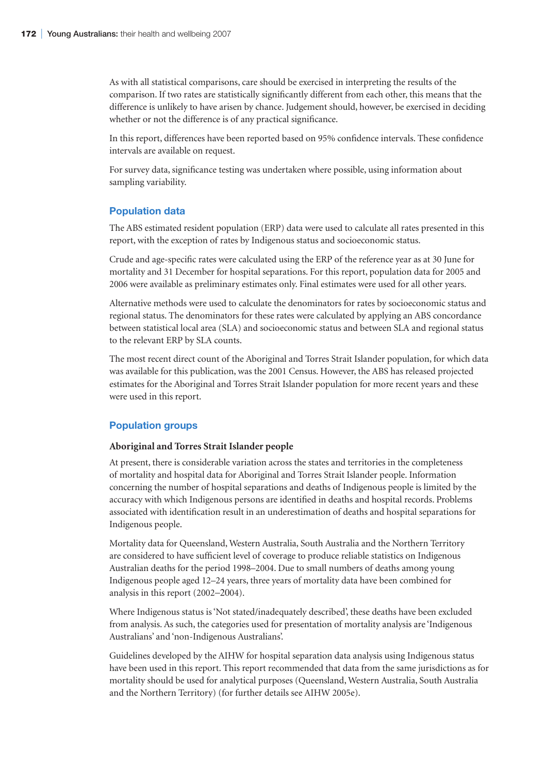As with all statistical comparisons, care should be exercised in interpreting the results of the comparison. If two rates are statistically significantly different from each other, this means that the difference is unlikely to have arisen by chance. Judgement should, however, be exercised in deciding whether or not the difference is of any practical significance.

In this report, differences have been reported based on 95% confidence intervals. These confidence intervals are available on request.

For survey data, significance testing was undertaken where possible, using information about sampling variability.

### **Population data**

The ABS estimated resident population (ERP) data were used to calculate all rates presented in this report, with the exception of rates by Indigenous status and socioeconomic status.

Crude and age-specific rates were calculated using the ERP of the reference year as at 30 June for mortality and 31 December for hospital separations. For this report, population data for 2005 and 2006 were available as preliminary estimates only. Final estimates were used for all other years.

Alternative methods were used to calculate the denominators for rates by socioeconomic status and regional status. The denominators for these rates were calculated by applying an ABS concordance between statistical local area (SLA) and socioeconomic status and between SLA and regional status to the relevant ERP by SLA counts.

The most recent direct count of the Aboriginal and Torres Strait Islander population, for which data was available for this publication, was the 2001 Census. However, the ABS has released projected estimates for the Aboriginal and Torres Strait Islander population for more recent years and these were used in this report.

## **Population groups**

#### **Aboriginal and Torres Strait Islander people**

At present, there is considerable variation across the states and territories in the completeness of mortality and hospital data for Aboriginal and Torres Strait Islander people. Information concerning the number of hospital separations and deaths of Indigenous people is limited by the accuracy with which Indigenous persons are identified in deaths and hospital records. Problems associated with identification result in an underestimation of deaths and hospital separations for Indigenous people.

Mortality data for Queensland, Western Australia, South Australia and the Northern Territory are considered to have sufficient level of coverage to produce reliable statistics on Indigenous Australian deaths for the period 1998–2004. Due to small numbers of deaths among young Indigenous people aged 12–24 years, three years of mortality data have been combined for analysis in this report (2002−2004).

Where Indigenous status is 'Not stated/inadequately described', these deaths have been excluded from analysis. As such, the categories used for presentation of mortality analysis are 'Indigenous Australians' and 'non-Indigenous Australians'.

Guidelines developed by the AIHW for hospital separation data analysis using Indigenous status have been used in this report. This report recommended that data from the same jurisdictions as for mortality should be used for analytical purposes (Queensland, Western Australia, South Australia and the Northern Territory) (for further details see AIHW 2005e).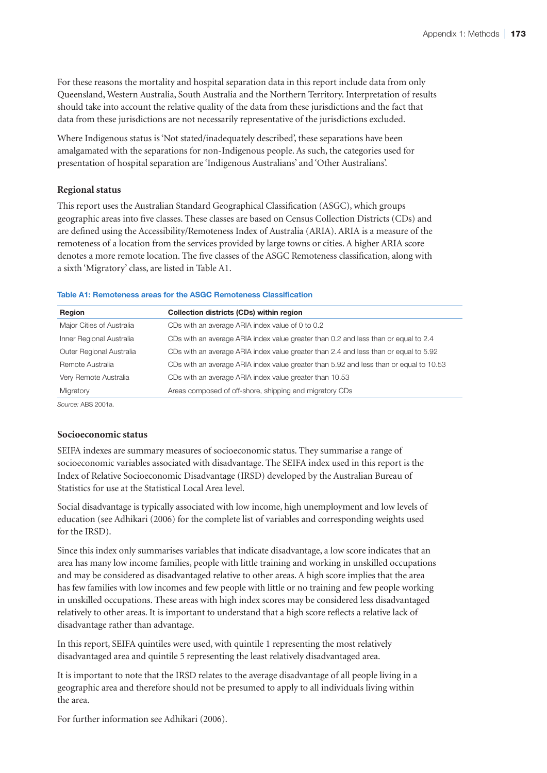For these reasons the mortality and hospital separation data in this report include data from only Queensland, Western Australia, South Australia and the Northern Territory. Interpretation of results should take into account the relative quality of the data from these jurisdictions and the fact that data from these jurisdictions are not necessarily representative of the jurisdictions excluded.

Where Indigenous status is 'Not stated/inadequately described', these separations have been amalgamated with the separations for non-Indigenous people. As such, the categories used for presentation of hospital separation are 'Indigenous Australians' and 'Other Australians'.

### **Regional status**

This report uses the Australian Standard Geographical Classification (ASGC), which groups geographic areas into five classes. These classes are based on Census Collection Districts (CDs) and are defined using the Accessibility/Remoteness Index of Australia (ARIA). ARIA is a measure of the remoteness of a location from the services provided by large towns or cities. A higher ARIA score denotes a more remote location. The five classes of the ASGC Remoteness classification, along with a sixth 'Migratory' class, are listed in Table A1.

#### **Table A1: Remoteness areas for the ASGC Remoteness Classification**

| Region                    | Collection districts (CDs) within region                                               |
|---------------------------|----------------------------------------------------------------------------------------|
| Major Cities of Australia | CDs with an average ARIA index value of 0 to 0.2                                       |
| Inner Regional Australia  | CDs with an average ARIA index value greater than 0.2 and less than or equal to 2.4    |
| Outer Regional Australia  | CDs with an average ARIA index value greater than 2.4 and less than or equal to 5.92   |
| Remote Australia          | CDs with an average ARIA index value greater than 5.92 and less than or equal to 10.53 |
| Very Remote Australia     | CDs with an average ARIA index value greater than 10.53                                |
| Migratory                 | Areas composed of off-shore, shipping and migratory CDs                                |

*Source:* ABS 2001a.

### **Socioeconomic status**

SEIFA indexes are summary measures of socioeconomic status. They summarise a range of socioeconomic variables associated with disadvantage. The SEIFA index used in this report is the Index of Relative Socioeconomic Disadvantage (IRSD) developed by the Australian Bureau of Statistics for use at the Statistical Local Area level.

Social disadvantage is typically associated with low income, high unemployment and low levels of education (see Adhikari (2006) for the complete list of variables and corresponding weights used for the IRSD).

Since this index only summarises variables that indicate disadvantage, a low score indicates that an area has many low income families, people with little training and working in unskilled occupations and may be considered as disadvantaged relative to other areas. A high score implies that the area has few families with low incomes and few people with little or no training and few people working in unskilled occupations. These areas with high index scores may be considered less disadvantaged relatively to other areas. It is important to understand that a high score reflects a relative lack of disadvantage rather than advantage.

In this report, SEIFA quintiles were used, with quintile 1 representing the most relatively disadvantaged area and quintile 5 representing the least relatively disadvantaged area.

It is important to note that the IRSD relates to the average disadvantage of all people living in a geographic area and therefore should not be presumed to apply to all individuals living within the area.

For further information see Adhikari (2006).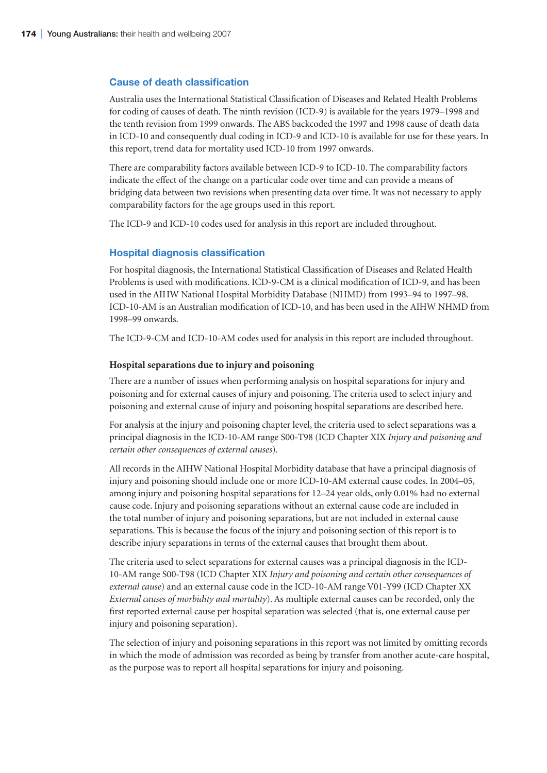### **Cause of death classification**

Australia uses the International Statistical Classification of Diseases and Related Health Problems for coding of causes of death. The ninth revision (ICD-9) is available for the years 1979–1998 and the tenth revision from 1999 onwards. The ABS backcoded the 1997 and 1998 cause of death data in ICD-10 and consequently dual coding in ICD-9 and ICD-10 is available for use for these years. In this report, trend data for mortality used ICD-10 from 1997 onwards.

There are comparability factors available between ICD-9 to ICD-10. The comparability factors indicate the effect of the change on a particular code over time and can provide a means of bridging data between two revisions when presenting data over time. It was not necessary to apply comparability factors for the age groups used in this report.

The ICD-9 and ICD-10 codes used for analysis in this report are included throughout.

### **Hospital diagnosis classification**

For hospital diagnosis, the International Statistical Classification of Diseases and Related Health Problems is used with modifications. ICD-9-CM is a clinical modification of ICD-9, and has been used in the AIHW National Hospital Morbidity Database (NHMD) from 1993–94 to 1997–98. ICD-10-AM is an Australian modification of ICD-10, and has been used in the AIHW NHMD from 1998–99 onwards.

The ICD-9-CM and ICD-10-AM codes used for analysis in this report are included throughout.

#### **Hospital separations due to injury and poisoning**

There are a number of issues when performing analysis on hospital separations for injury and poisoning and for external causes of injury and poisoning. The criteria used to select injury and poisoning and external cause of injury and poisoning hospital separations are described here.

For analysis at the injury and poisoning chapter level, the criteria used to select separations was a principal diagnosis in the ICD-10-AM range S00-T98 (ICD Chapter XIX *Injury and poisoning and certain other consequences of external causes*).

All records in the AIHW National Hospital Morbidity database that have a principal diagnosis of injury and poisoning should include one or more ICD-10-AM external cause codes. In 2004–05, among injury and poisoning hospital separations for 12–24 year olds, only 0.01% had no external cause code. Injury and poisoning separations without an external cause code are included in the total number of injury and poisoning separations, but are not included in external cause separations. This is because the focus of the injury and poisoning section of this report is to describe injury separations in terms of the external causes that brought them about.

The criteria used to select separations for external causes was a principal diagnosis in the ICD-10-AM range S00-T98 (ICD Chapter XIX *Injury and poisoning and certain other consequences of external cause*) and an external cause code in the ICD-10-AM range V01-Y99 (ICD Chapter XX *External causes of morbidity and mortality*). As multiple external causes can be recorded, only the first reported external cause per hospital separation was selected (that is, one external cause per injury and poisoning separation).

The selection of injury and poisoning separations in this report was not limited by omitting records in which the mode of admission was recorded as being by transfer from another acute-care hospital, as the purpose was to report all hospital separations for injury and poisoning.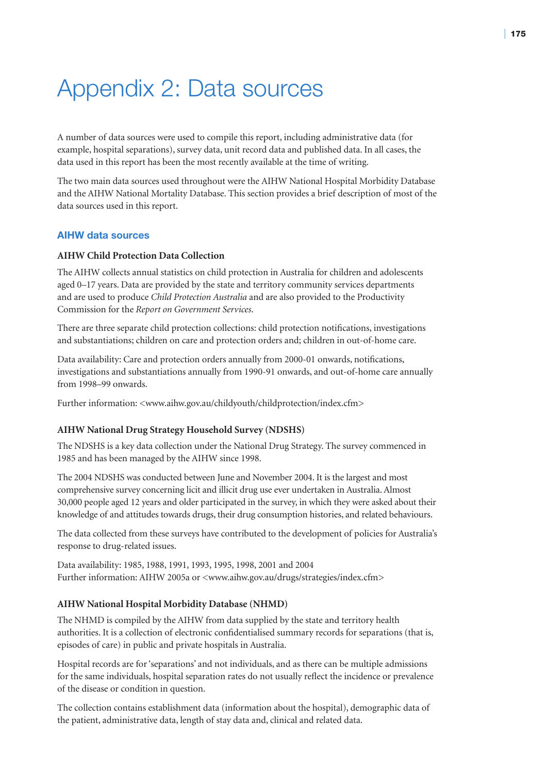## Appendix 2: Data sources

A number of data sources were used to compile this report, including administrative data (for example, hospital separations), survey data, unit record data and published data. In all cases, the data used in this report has been the most recently available at the time of writing.

The two main data sources used throughout were the AIHW National Hospital Morbidity Database and the AIHW National Mortality Database. This section provides a brief description of most of the data sources used in this report.

## **AIHW data sources**

## **AIHW Child Protection Data Collection**

The AIHW collects annual statistics on child protection in Australia for children and adolescents aged 0–17 years. Data are provided by the state and territory community services departments and are used to produce *Child Protection Australia* and are also provided to the Productivity Commission for the *Report on Government Services*.

There are three separate child protection collections: child protection notifications, investigations and substantiations; children on care and protection orders and; children in out-of-home care.

Data availability: Care and protection orders annually from 2000-01 onwards, notifications, investigations and substantiations annually from 1990-91 onwards, and out-of-home care annually from 1998–99 onwards.

Further information: <www.aihw.gov.au/childyouth/childprotection/index.cfm>

### **AIHW National Drug Strategy Household Survey (NDSHS)**

The NDSHS is a key data collection under the National Drug Strategy. The survey commenced in 1985 and has been managed by the AIHW since 1998.

The 2004 NDSHS was conducted between June and November 2004. It is the largest and most comprehensive survey concerning licit and illicit drug use ever undertaken in Australia. Almost 30,000 people aged 12 years and older participated in the survey, in which they were asked about their knowledge of and attitudes towards drugs, their drug consumption histories, and related behaviours.

The data collected from these surveys have contributed to the development of policies for Australia's response to drug-related issues.

Data availability: 1985, 1988, 1991, 1993, 1995, 1998, 2001 and 2004 Further information: AIHW 2005a or <www.aihw.gov.au/drugs/strategies/index.cfm>

### **AIHW National Hospital Morbidity Database (NHMD)**

The NHMD is compiled by the AIHW from data supplied by the state and territory health authorities. It is a collection of electronic confidentialised summary records for separations (that is, episodes of care) in public and private hospitals in Australia.

Hospital records are for 'separations' and not individuals, and as there can be multiple admissions for the same individuals, hospital separation rates do not usually reflect the incidence or prevalence of the disease or condition in question.

The collection contains establishment data (information about the hospital), demographic data of the patient, administrative data, length of stay data and, clinical and related data.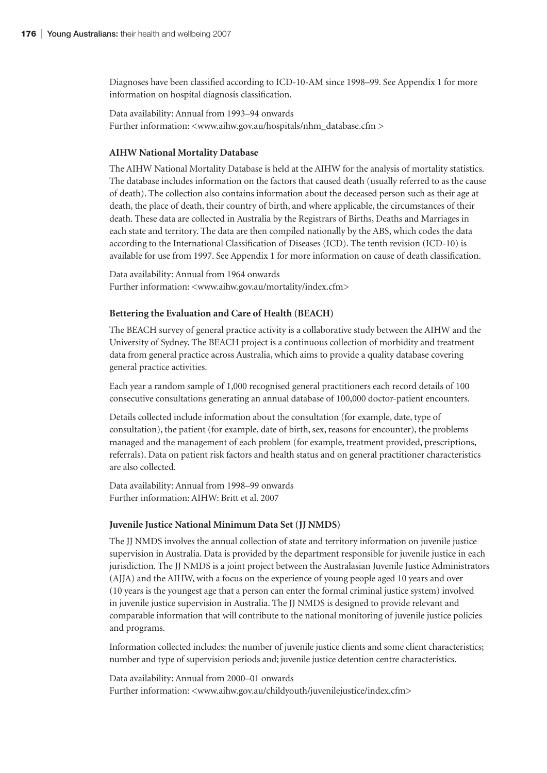Diagnoses have been classified according to ICD-10-AM since 1998–99. See Appendix 1 for more information on hospital diagnosis classification.

Data availability: Annual from 1993–94 onwards Further information: <www.aihw.gov.au/hospitals/nhm\_database.cfm >

### **AIHW National Mortality Database**

The AIHW National Mortality Database is held at the AIHW for the analysis of mortality statistics. The database includes information on the factors that caused death (usually referred to as the cause of death). The collection also contains information about the deceased person such as their age at death, the place of death, their country of birth, and where applicable, the circumstances of their death. These data are collected in Australia by the Registrars of Births, Deaths and Marriages in each state and territory. The data are then compiled nationally by the ABS, which codes the data according to the International Classification of Diseases (ICD). The tenth revision (ICD-10) is available for use from 1997. See Appendix 1 for more information on cause of death classification.

Data availability: Annual from 1964 onwards Further information: <www.aihw.gov.au/mortality/index.cfm>

#### **Bettering the Evaluation and Care of Health (BEACH)**

The BEACH survey of general practice activity is a collaborative study between the AIHW and the University of Sydney. The BEACH project is a continuous collection of morbidity and treatment data from general practice across Australia, which aims to provide a quality database covering general practice activities.

Each year a random sample of 1,000 recognised general practitioners each record details of 100 consecutive consultations generating an annual database of 100,000 doctor-patient encounters.

Details collected include information about the consultation (for example, date, type of consultation), the patient (for example, date of birth, sex, reasons for encounter), the problems managed and the management of each problem (for example, treatment provided, prescriptions, referrals). Data on patient risk factors and health status and on general practitioner characteristics are also collected.

Data availability: Annual from 1998–99 onwards Further information: AIHW: Britt et al. 2007

#### **Juvenile Justice National Minimum Data Set (JJ NMDS)**

The JJ NMDS involves the annual collection of state and territory information on juvenile justice supervision in Australia. Data is provided by the department responsible for juvenile justice in each jurisdiction. The JJ NMDS is a joint project between the Australasian Juvenile Justice Administrators (AJJA) and the AIHW, with a focus on the experience of young people aged 10 years and over (10 years is the youngest age that a person can enter the formal criminal justice system) involved in juvenile justice supervision in Australia. The JJ NMDS is designed to provide relevant and comparable information that will contribute to the national monitoring of juvenile justice policies and programs.

Information collected includes: the number of juvenile justice clients and some client characteristics; number and type of supervision periods and; juvenile justice detention centre characteristics.

Data availability: Annual from 2000–01 onwards Further information: <www.aihw.gov.au/childyouth/juvenilejustice/index.cfm>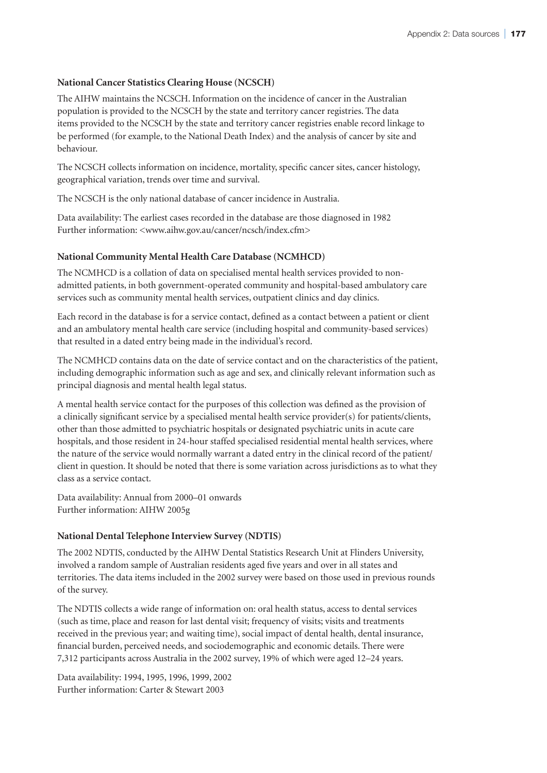## **National Cancer Statistics Clearing House (NCSCH)**

The AIHW maintains the NCSCH. Information on the incidence of cancer in the Australian population is provided to the NCSCH by the state and territory cancer registries. The data items provided to the NCSCH by the state and territory cancer registries enable record linkage to be performed (for example, to the National Death Index) and the analysis of cancer by site and behaviour.

The NCSCH collects information on incidence, mortality, specific cancer sites, cancer histology, geographical variation, trends over time and survival.

The NCSCH is the only national database of cancer incidence in Australia.

Data availability: The earliest cases recorded in the database are those diagnosed in 1982 Further information: <www.aihw.gov.au/cancer/ncsch/index.cfm>

### **National Community Mental Health Care Database (NCMHCD)**

The NCMHCD is a collation of data on specialised mental health services provided to nonadmitted patients, in both government-operated community and hospital-based ambulatory care services such as community mental health services, outpatient clinics and day clinics.

Each record in the database is for a service contact, defined as a contact between a patient or client and an ambulatory mental health care service (including hospital and community-based services) that resulted in a dated entry being made in the individual's record.

The NCMHCD contains data on the date of service contact and on the characteristics of the patient, including demographic information such as age and sex, and clinically relevant information such as principal diagnosis and mental health legal status.

A mental health service contact for the purposes of this collection was defined as the provision of a clinically significant service by a specialised mental health service provider(s) for patients/clients, other than those admitted to psychiatric hospitals or designated psychiatric units in acute care hospitals, and those resident in 24-hour staffed specialised residential mental health services, where the nature of the service would normally warrant a dated entry in the clinical record of the patient/ client in question. It should be noted that there is some variation across jurisdictions as to what they class as a service contact.

Data availability: Annual from 2000–01 onwards Further information: AIHW 2005g

#### **National Dental Telephone Interview Survey (NDTIS)**

The 2002 NDTIS, conducted by the AIHW Dental Statistics Research Unit at Flinders University, involved a random sample of Australian residents aged five years and over in all states and territories. The data items included in the 2002 survey were based on those used in previous rounds of the survey.

The NDTIS collects a wide range of information on: oral health status, access to dental services (such as time, place and reason for last dental visit; frequency of visits; visits and treatments received in the previous year; and waiting time), social impact of dental health, dental insurance, financial burden, perceived needs, and sociodemographic and economic details. There were 7,312 participants across Australia in the 2002 survey, 19% of which were aged 12–24 years.

Data availability: 1994, 1995, 1996, 1999, 2002 Further information: Carter & Stewart 2003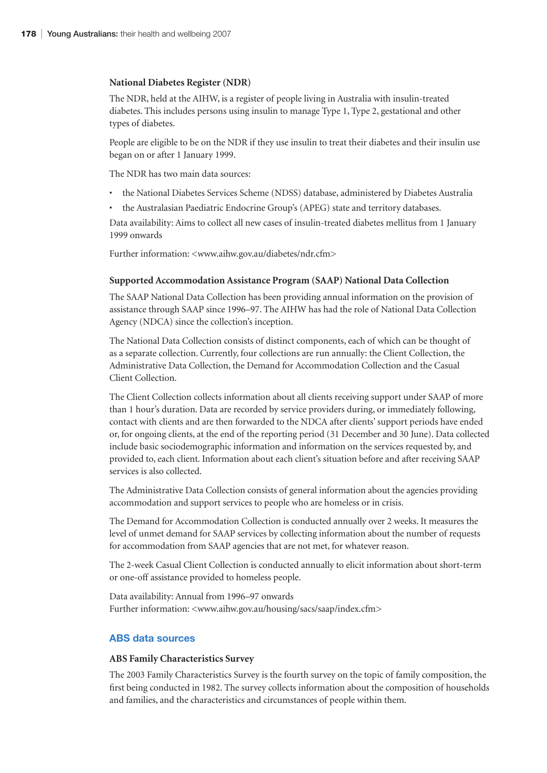#### **National Diabetes Register (NDR)**

The NDR, held at the AIHW, is a register of people living in Australia with insulin-treated diabetes. This includes persons using insulin to manage Type 1, Type 2, gestational and other types of diabetes.

People are eligible to be on the NDR if they use insulin to treat their diabetes and their insulin use began on or after 1 January 1999.

The NDR has two main data sources:

- the National Diabetes Services Scheme (NDSS) database, administered by Diabetes Australia
- the Australasian Paediatric Endocrine Group's (APEG) state and territory databases.

Data availability: Aims to collect all new cases of insulin-treated diabetes mellitus from 1 January 1999 onwards

Further information: <www.aihw.gov.au/diabetes/ndr.cfm>

#### **Supported Accommodation Assistance Program (SAAP) National Data Collection**

The SAAP National Data Collection has been providing annual information on the provision of assistance through SAAP since 1996–97. The AIHW has had the role of National Data Collection Agency (NDCA) since the collection's inception.

The National Data Collection consists of distinct components, each of which can be thought of as a separate collection. Currently, four collections are run annually: the Client Collection, the Administrative Data Collection, the Demand for Accommodation Collection and the Casual Client Collection.

The Client Collection collects information about all clients receiving support under SAAP of more than 1 hour's duration. Data are recorded by service providers during, or immediately following, contact with clients and are then forwarded to the NDCA after clients' support periods have ended or, for ongoing clients, at the end of the reporting period (31 December and 30 June). Data collected include basic sociodemographic information and information on the services requested by, and provided to, each client. Information about each client's situation before and after receiving SAAP services is also collected.

The Administrative Data Collection consists of general information about the agencies providing accommodation and support services to people who are homeless or in crisis.

The Demand for Accommodation Collection is conducted annually over 2 weeks. It measures the level of unmet demand for SAAP services by collecting information about the number of requests for accommodation from SAAP agencies that are not met, for whatever reason.

The 2-week Casual Client Collection is conducted annually to elicit information about short-term or one-off assistance provided to homeless people.

Data availability: Annual from 1996–97 onwards Further information: <www.aihw.gov.au/housing/sacs/saap/index.cfm>

## **ABS data sources**

#### **ABS Family Characteristics Survey**

The 2003 Family Characteristics Survey is the fourth survey on the topic of family composition, the first being conducted in 1982. The survey collects information about the composition of households and families, and the characteristics and circumstances of people within them.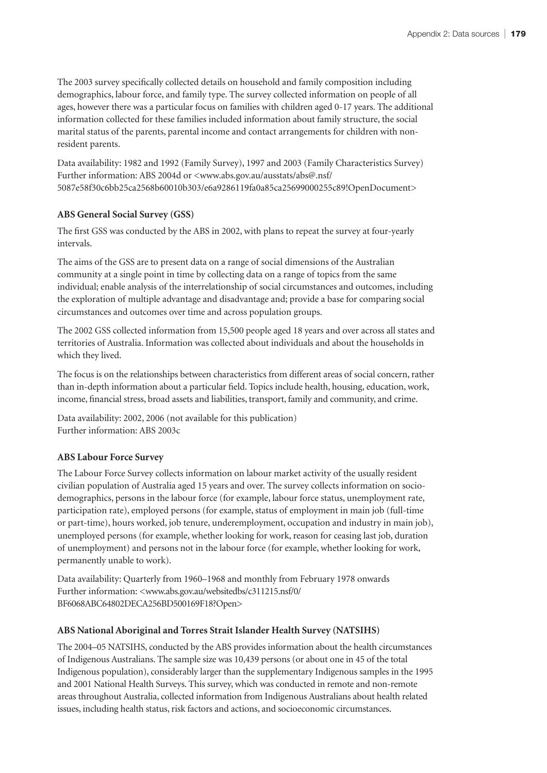The 2003 survey specifically collected details on household and family composition including demographics, labour force, and family type. The survey collected information on people of all ages, however there was a particular focus on families with children aged 0-17 years. The additional information collected for these families included information about family structure, the social marital status of the parents, parental income and contact arrangements for children with nonresident parents.

Data availability: 1982 and 1992 (Family Survey), 1997 and 2003 (Family Characteristics Survey) Further information: ABS 2004d or <www.abs.gov.au/ausstats/abs@.nsf/ 5087e58f30c6bb25ca2568b60010b303/e6a9286119fa0a85ca25699000255c89!OpenDocument>

## **ABS General Social Survey (GSS)**

The first GSS was conducted by the ABS in 2002, with plans to repeat the survey at four-yearly intervals.

The aims of the GSS are to present data on a range of social dimensions of the Australian community at a single point in time by collecting data on a range of topics from the same individual; enable analysis of the interrelationship of social circumstances and outcomes, including the exploration of multiple advantage and disadvantage and; provide a base for comparing social circumstances and outcomes over time and across population groups.

The 2002 GSS collected information from 15,500 people aged 18 years and over across all states and territories of Australia. Information was collected about individuals and about the households in which they lived.

The focus is on the relationships between characteristics from different areas of social concern, rather than in-depth information about a particular field. Topics include health, housing, education, work, income, financial stress, broad assets and liabilities, transport, family and community, and crime.

Data availability: 2002, 2006 (not available for this publication) Further information: ABS 2003c

## **ABS Labour Force Survey**

The Labour Force Survey collects information on labour market activity of the usually resident civilian population of Australia aged 15 years and over. The survey collects information on sociodemographics, persons in the labour force (for example, labour force status, unemployment rate, participation rate), employed persons (for example, status of employment in main job (full-time or part-time), hours worked, job tenure, underemployment, occupation and industry in main job), unemployed persons (for example, whether looking for work, reason for ceasing last job, duration of unemployment) and persons not in the labour force (for example, whether looking for work, permanently unable to work).

Data availability: Quarterly from 1960–1968 and monthly from February 1978 onwards Further information: <www.abs.gov.au/websitedbs/c311215.nsf/0/ BF6068ABC64802DECA256BD500169F18?Open>

## **ABS National Aboriginal and Torres Strait Islander Health Survey (NATSIHS)**

The 2004–05 NATSIHS, conducted by the ABS provides information about the health circumstances of Indigenous Australians. The sample size was 10,439 persons (or about one in 45 of the total Indigenous population), considerably larger than the supplementary Indigenous samples in the 1995 and 2001 National Health Surveys. This survey, which was conducted in remote and non-remote areas throughout Australia, collected information from Indigenous Australians about health related issues, including health status, risk factors and actions, and socioeconomic circumstances.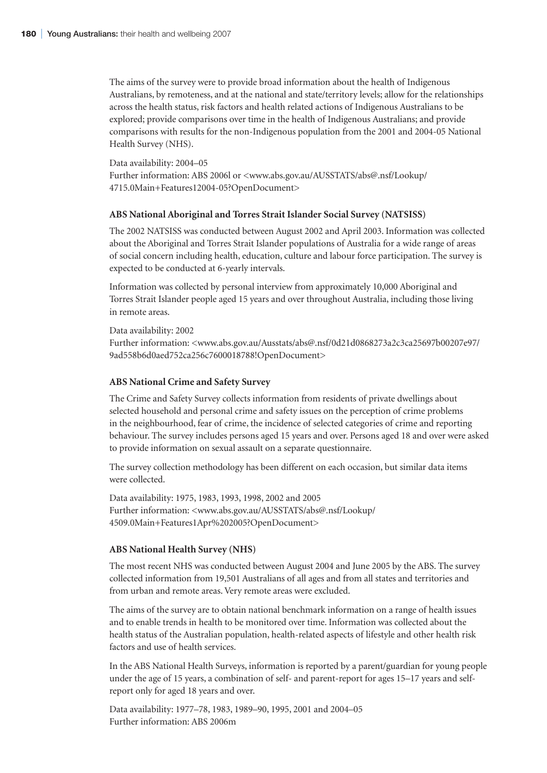The aims of the survey were to provide broad information about the health of Indigenous Australians, by remoteness, and at the national and state/territory levels; allow for the relationships across the health status, risk factors and health related actions of Indigenous Australians to be explored; provide comparisons over time in the health of Indigenous Australians; and provide comparisons with results for the non-Indigenous population from the 2001 and 2004-05 National Health Survey (NHS).

#### Data availability: 2004–05

Further information: ABS 2006l or <www.abs.gov.au/AUSSTATS/abs@.nsf/Lookup/ 4715.0Main+Features12004-05?OpenDocument>

### **ABS National Aboriginal and Torres Strait Islander Social Survey (NATSISS)**

The 2002 NATSISS was conducted between August 2002 and April 2003. Information was collected about the Aboriginal and Torres Strait Islander populations of Australia for a wide range of areas of social concern including health, education, culture and labour force participation. The survey is expected to be conducted at 6-yearly intervals.

Information was collected by personal interview from approximately 10,000 Aboriginal and Torres Strait Islander people aged 15 years and over throughout Australia, including those living in remote areas.

Data availability: 2002

Further information: <www.abs.gov.au/Ausstats/abs@.nsf/0d21d0868273a2c3ca25697b00207e97/ 9ad558b6d0aed752ca256c7600018788!OpenDocument>

#### **ABS National Crime and Safety Survey**

The Crime and Safety Survey collects information from residents of private dwellings about selected household and personal crime and safety issues on the perception of crime problems in the neighbourhood, fear of crime, the incidence of selected categories of crime and reporting behaviour. The survey includes persons aged 15 years and over. Persons aged 18 and over were asked to provide information on sexual assault on a separate questionnaire.

The survey collection methodology has been different on each occasion, but similar data items were collected.

Data availability: 1975, 1983, 1993, 1998, 2002 and 2005 Further information: <www.abs.gov.au/AUSSTATS/abs@.nsf/Lookup/ 4509.0Main+Features1Apr%202005?OpenDocument>

#### **ABS National Health Survey (NHS)**

The most recent NHS was conducted between August 2004 and June 2005 by the ABS. The survey collected information from 19,501 Australians of all ages and from all states and territories and from urban and remote areas. Very remote areas were excluded.

The aims of the survey are to obtain national benchmark information on a range of health issues and to enable trends in health to be monitored over time. Information was collected about the health status of the Australian population, health-related aspects of lifestyle and other health risk factors and use of health services.

In the ABS National Health Surveys, information is reported by a parent/guardian for young people under the age of 15 years, a combination of self- and parent-report for ages 15–17 years and selfreport only for aged 18 years and over.

Data availability: 1977–78, 1983, 1989–90, 1995, 2001 and 2004–05 Further information: ABS 2006m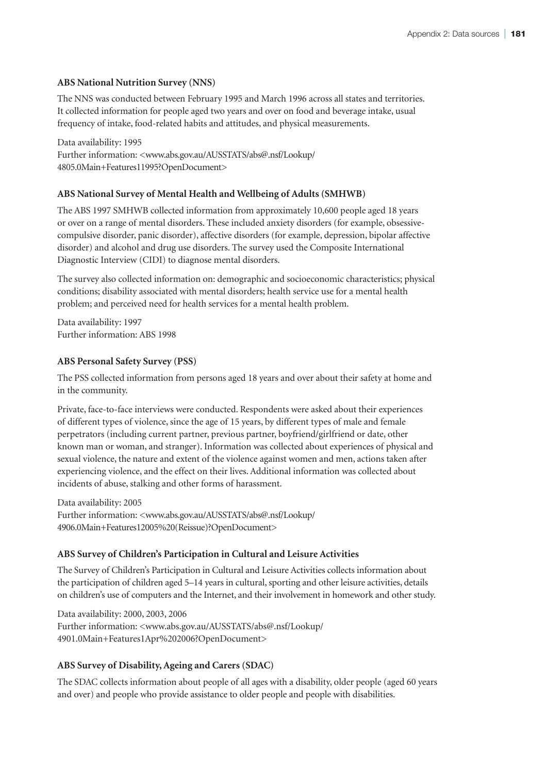## **ABS National Nutrition Survey (NNS)**

The NNS was conducted between February 1995 and March 1996 across all states and territories. It collected information for people aged two years and over on food and beverage intake, usual frequency of intake, food-related habits and attitudes, and physical measurements.

Data availability: 1995 Further information: <www.abs.gov.au/AUSSTATS/abs@.nsf/Lookup/ 4805.0Main+Features11995?OpenDocument>

## **ABS National Survey of Mental Health and Wellbeing of Adults (SMHWB)**

The ABS 1997 SMHWB collected information from approximately 10,600 people aged 18 years or over on a range of mental disorders. These included anxiety disorders (for example, obsessivecompulsive disorder, panic disorder), affective disorders (for example, depression, bipolar affective disorder) and alcohol and drug use disorders. The survey used the Composite International Diagnostic Interview (CIDI) to diagnose mental disorders.

The survey also collected information on: demographic and socioeconomic characteristics; physical conditions; disability associated with mental disorders; health service use for a mental health problem; and perceived need for health services for a mental health problem.

Data availability: 1997 Further information: ABS 1998

## **ABS Personal Safety Survey (PSS)**

The PSS collected information from persons aged 18 years and over about their safety at home and in the community.

Private, face-to-face interviews were conducted. Respondents were asked about their experiences of different types of violence, since the age of 15 years, by different types of male and female perpetrators (including current partner, previous partner, boyfriend/girlfriend or date, other known man or woman, and stranger). Information was collected about experiences of physical and sexual violence, the nature and extent of the violence against women and men, actions taken after experiencing violence, and the effect on their lives. Additional information was collected about incidents of abuse, stalking and other forms of harassment.

Data availability: 2005 Further information: <www.abs.gov.au/AUSSTATS/abs@.nsf/Lookup/ 4906.0Main+Features12005%20(Reissue)?OpenDocument>

## **ABS Survey of Children's Participation in Cultural and Leisure Activities**

The Survey of Children's Participation in Cultural and Leisure Activities collects information about the participation of children aged 5–14 years in cultural, sporting and other leisure activities, details on children's use of computers and the Internet, and their involvement in homework and other study.

Data availability: 2000, 2003, 2006 Further information: <www.abs.gov.au/AUSSTATS/abs@.nsf/Lookup/ 4901.0Main+Features1Apr%202006?OpenDocument>

## **ABS Survey of Disability, Ageing and Carers (SDAC)**

The SDAC collects information about people of all ages with a disability, older people (aged 60 years and over) and people who provide assistance to older people and people with disabilities.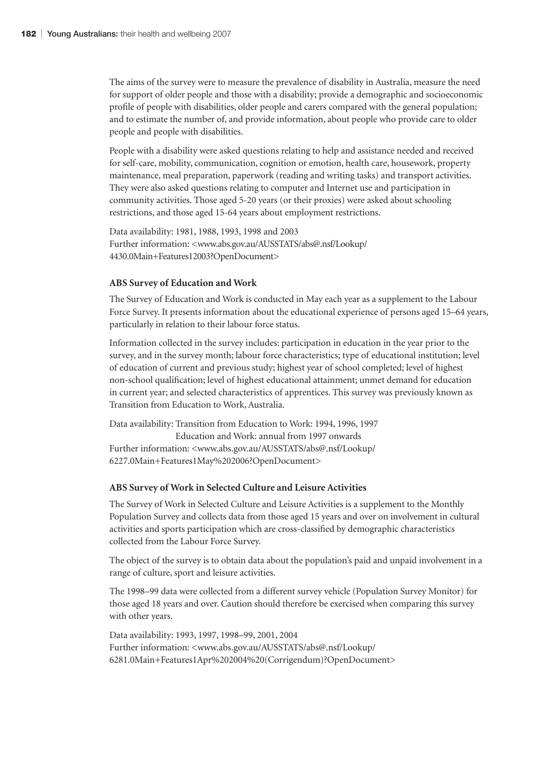The aims of the survey were to measure the prevalence of disability in Australia, measure the need for support of older people and those with a disability; provide a demographic and socioeconomic profile of people with disabilities, older people and carers compared with the general population; and to estimate the number of, and provide information, about people who provide care to older people and people with disabilities.

People with a disability were asked questions relating to help and assistance needed and received for self-care, mobility, communication, cognition or emotion, health care, housework, property maintenance, meal preparation, paperwork (reading and writing tasks) and transport activities. They were also asked questions relating to computer and Internet use and participation in community activities. Those aged 5-20 years (or their proxies) were asked about schooling restrictions, and those aged 15-64 years about employment restrictions.

Data availability: 1981, 1988, 1993, 1998 and 2003 Further information: <www.abs.gov.au/AUSSTATS/abs@.nsf/Lookup/ 4430.0Main+Features12003?OpenDocument>

### **ABS Survey of Education and Work**

The Survey of Education and Work is conducted in May each year as a supplement to the Labour Force Survey. It presents information about the educational experience of persons aged 15–64 years, particularly in relation to their labour force status.

Information collected in the survey includes: participation in education in the year prior to the survey, and in the survey month; labour force characteristics; type of educational institution; level of education of current and previous study; highest year of school completed; level of highest non-school qualification; level of highest educational attainment; unmet demand for education in current year; and selected characteristics of apprentices. This survey was previously known as Transition from Education to Work, Australia.

Data availability: Transition from Education to Work: 1994, 1996, 1997 Education and Work: annual from 1997 onwards Further information: <www.abs.gov.au/AUSSTATS/abs@.nsf/Lookup/ 6227.0Main+Features1May%202006?OpenDocument>

### **ABS Survey of Work in Selected Culture and Leisure Activities**

The Survey of Work in Selected Culture and Leisure Activities is a supplement to the Monthly Population Survey and collects data from those aged 15 years and over on involvement in cultural activities and sports participation which are cross-classified by demographic characteristics collected from the Labour Force Survey.

The object of the survey is to obtain data about the population's paid and unpaid involvement in a range of culture, sport and leisure activities.

The 1998–99 data were collected from a different survey vehicle (Population Survey Monitor) for those aged 18 years and over. Caution should therefore be exercised when comparing this survey with other years.

Data availability: 1993, 1997, 1998–99, 2001, 2004 Further information: <www.abs.gov.au/AUSSTATS/abs@.nsf/Lookup/ 6281.0Main+Features1Apr%202004%20(Corrigendum)?OpenDocument>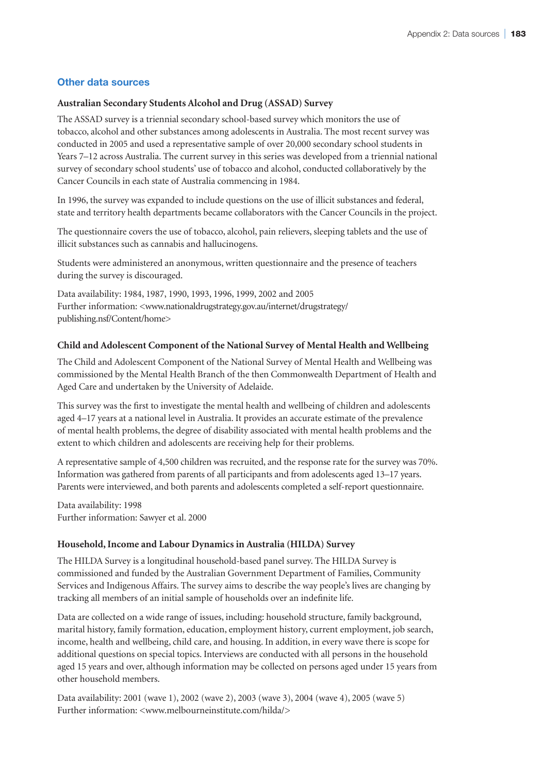## **Other data sources**

## **Australian Secondary Students Alcohol and Drug (ASSAD) Survey**

The ASSAD survey is a triennial secondary school-based survey which monitors the use of tobacco, alcohol and other substances among adolescents in Australia. The most recent survey was conducted in 2005 and used a representative sample of over 20,000 secondary school students in Years 7–12 across Australia. The current survey in this series was developed from a triennial national survey of secondary school students' use of tobacco and alcohol, conducted collaboratively by the Cancer Councils in each state of Australia commencing in 1984.

In 1996, the survey was expanded to include questions on the use of illicit substances and federal, state and territory health departments became collaborators with the Cancer Councils in the project.

The questionnaire covers the use of tobacco, alcohol, pain relievers, sleeping tablets and the use of illicit substances such as cannabis and hallucinogens.

Students were administered an anonymous, written questionnaire and the presence of teachers during the survey is discouraged.

Data availability: 1984, 1987, 1990, 1993, 1996, 1999, 2002 and 2005 Further information: <www.nationaldrugstrategy.gov.au/internet/drugstrategy/ publishing.nsf/Content/home>

## **Child and Adolescent Component of the National Survey of Mental Health and Wellbeing**

The Child and Adolescent Component of the National Survey of Mental Health and Wellbeing was commissioned by the Mental Health Branch of the then Commonwealth Department of Health and Aged Care and undertaken by the University of Adelaide.

This survey was the first to investigate the mental health and wellbeing of children and adolescents aged 4–17 years at a national level in Australia. It provides an accurate estimate of the prevalence of mental health problems, the degree of disability associated with mental health problems and the extent to which children and adolescents are receiving help for their problems.

A representative sample of 4,500 children was recruited, and the response rate for the survey was 70%. Information was gathered from parents of all participants and from adolescents aged 13–17 years. Parents were interviewed, and both parents and adolescents completed a self-report questionnaire.

Data availability: 1998 Further information: Sawyer et al. 2000

## **Household, Income and Labour Dynamics in Australia (HILDA) Survey**

The HILDA Survey is a longitudinal household-based panel survey. The HILDA Survey is commissioned and funded by the Australian Government Department of Families, Community Services and Indigenous Affairs. The survey aims to describe the way people's lives are changing by tracking all members of an initial sample of households over an indefinite life.

Data are collected on a wide range of issues, including: household structure, family background, marital history, family formation, education, employment history, current employment, job search, income, health and wellbeing, child care, and housing. In addition, in every wave there is scope for additional questions on special topics. Interviews are conducted with all persons in the household aged 15 years and over, although information may be collected on persons aged under 15 years from other household members.

Data availability: 2001 (wave 1), 2002 (wave 2), 2003 (wave 3), 2004 (wave 4), 2005 (wave 5) Further information: <www.melbourneinstitute.com/hilda/>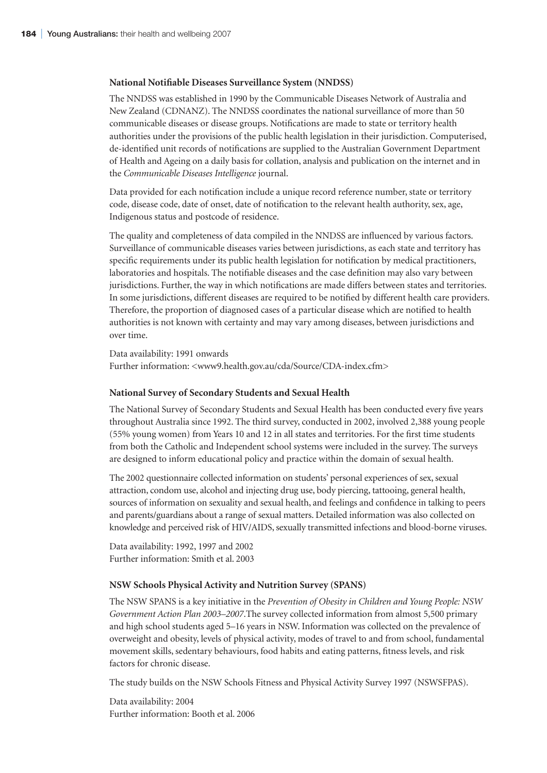### **National Notifiable Diseases Surveillance System (NNDSS)**

The NNDSS was established in 1990 by the Communicable Diseases Network of Australia and New Zealand (CDNANZ). The NNDSS coordinates the national surveillance of more than 50 communicable diseases or disease groups. Notifications are made to state or territory health authorities under the provisions of the public health legislation in their jurisdiction. Computerised, de-identified unit records of notifications are supplied to the Australian Government Department of Health and Ageing on a daily basis for collation, analysis and publication on the internet and in the *Communicable Diseases Intelligence* journal.

Data provided for each notification include a unique record reference number, state or territory code, disease code, date of onset, date of notification to the relevant health authority, sex, age, Indigenous status and postcode of residence.

The quality and completeness of data compiled in the NNDSS are influenced by various factors. Surveillance of communicable diseases varies between jurisdictions, as each state and territory has specific requirements under its public health legislation for notification by medical practitioners, laboratories and hospitals. The notifiable diseases and the case definition may also vary between jurisdictions. Further, the way in which notifications are made differs between states and territories. In some jurisdictions, different diseases are required to be notified by different health care providers. Therefore, the proportion of diagnosed cases of a particular disease which are notified to health authorities is not known with certainty and may vary among diseases, between jurisdictions and over time.

Data availability: 1991 onwards Further information: <www9.health.gov.au/cda/Source/CDA-index.cfm>

### **National Survey of Secondary Students and Sexual Health**

The National Survey of Secondary Students and Sexual Health has been conducted every five years throughout Australia since 1992. The third survey, conducted in 2002, involved 2,388 young people (55% young women) from Years 10 and 12 in all states and territories. For the first time students from both the Catholic and Independent school systems were included in the survey. The surveys are designed to inform educational policy and practice within the domain of sexual health.

The 2002 questionnaire collected information on students' personal experiences of sex, sexual attraction, condom use, alcohol and injecting drug use, body piercing, tattooing, general health, sources of information on sexuality and sexual health, and feelings and confidence in talking to peers and parents/guardians about a range of sexual matters. Detailed information was also collected on knowledge and perceived risk of HIV/AIDS, sexually transmitted infections and blood-borne viruses.

Data availability: 1992, 1997 and 2002 Further information: Smith et al. 2003

### **NSW Schools Physical Activity and Nutrition Survey (SPANS)**

The NSW SPANS is a key initiative in the *Prevention of Obesity in Children and Young People: NSW Government Action Plan 2003–2007*.The survey collected information from almost 5,500 primary and high school students aged 5–16 years in NSW. Information was collected on the prevalence of overweight and obesity, levels of physical activity, modes of travel to and from school, fundamental movement skills, sedentary behaviours, food habits and eating patterns, fitness levels, and risk factors for chronic disease.

The study builds on the NSW Schools Fitness and Physical Activity Survey 1997 (NSWSFPAS).

Data availability: 2004 Further information: Booth et al. 2006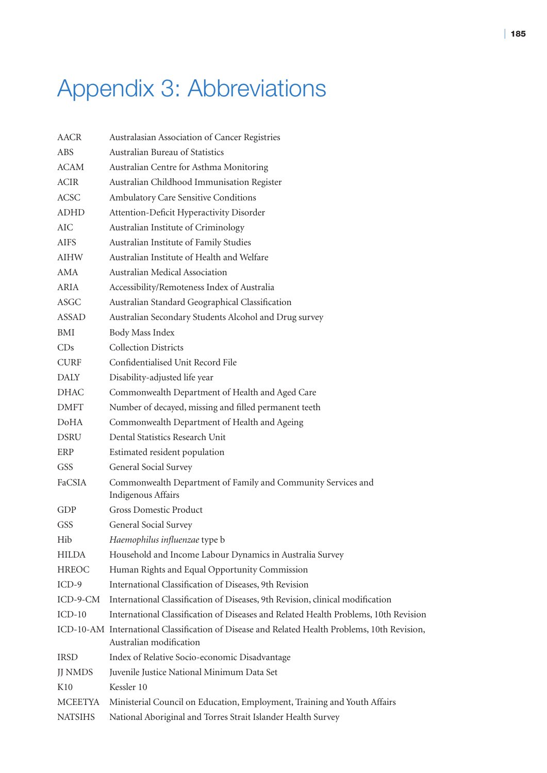# Appendix 3: Abbreviations

| <b>AACR</b>    | Australasian Association of Cancer Registries                                                                            |
|----------------|--------------------------------------------------------------------------------------------------------------------------|
| <b>ABS</b>     | Australian Bureau of Statistics                                                                                          |
| <b>ACAM</b>    | Australian Centre for Asthma Monitoring                                                                                  |
| <b>ACIR</b>    | Australian Childhood Immunisation Register                                                                               |
| <b>ACSC</b>    | Ambulatory Care Sensitive Conditions                                                                                     |
| <b>ADHD</b>    | Attention-Deficit Hyperactivity Disorder                                                                                 |
| $\rm AIC$      | Australian Institute of Criminology                                                                                      |
| <b>AIFS</b>    | Australian Institute of Family Studies                                                                                   |
| <b>AIHW</b>    | Australian Institute of Health and Welfare                                                                               |
| AMA            | Australian Medical Association                                                                                           |
| <b>ARIA</b>    | Accessibility/Remoteness Index of Australia                                                                              |
| ASGC           | Australian Standard Geographical Classification                                                                          |
| <b>ASSAD</b>   | Australian Secondary Students Alcohol and Drug survey                                                                    |
| BMI            | Body Mass Index                                                                                                          |
| CDs            | <b>Collection Districts</b>                                                                                              |
| <b>CURF</b>    | Confidentialised Unit Record File                                                                                        |
| <b>DALY</b>    | Disability-adjusted life year                                                                                            |
| <b>DHAC</b>    | Commonwealth Department of Health and Aged Care                                                                          |
| <b>DMFT</b>    | Number of decayed, missing and filled permanent teeth                                                                    |
| <b>DoHA</b>    | Commonwealth Department of Health and Ageing                                                                             |
| <b>DSRU</b>    | Dental Statistics Research Unit                                                                                          |
| ERP            | Estimated resident population                                                                                            |
| GSS            | General Social Survey                                                                                                    |
| FaCSIA         | Commonwealth Department of Family and Community Services and<br>Indigenous Affairs                                       |
| GDP            | <b>Gross Domestic Product</b>                                                                                            |
| <b>GSS</b>     | General Social Survey                                                                                                    |
| Hib            | Haemophilus influenzae type b                                                                                            |
| <b>HILDA</b>   | Household and Income Labour Dynamics in Australia Survey                                                                 |
| <b>HREOC</b>   | Human Rights and Equal Opportunity Commission                                                                            |
| $ICD-9$        | International Classification of Diseases, 9th Revision                                                                   |
| ICD-9-CM       | International Classification of Diseases, 9th Revision, clinical modification                                            |
| $ICD-10$       | International Classification of Diseases and Related Health Problems, 10th Revision                                      |
|                | ICD-10-AM International Classification of Disease and Related Health Problems, 10th Revision,<br>Australian modification |
| <b>IRSD</b>    | Index of Relative Socio-economic Disadvantage                                                                            |
| <b>JJ NMDS</b> | Juvenile Justice National Minimum Data Set                                                                               |
| K10            | Kessler 10                                                                                                               |
| <b>MCEETYA</b> | Ministerial Council on Education, Employment, Training and Youth Affairs                                                 |
| <b>NATSIHS</b> | National Aboriginal and Torres Strait Islander Health Survey                                                             |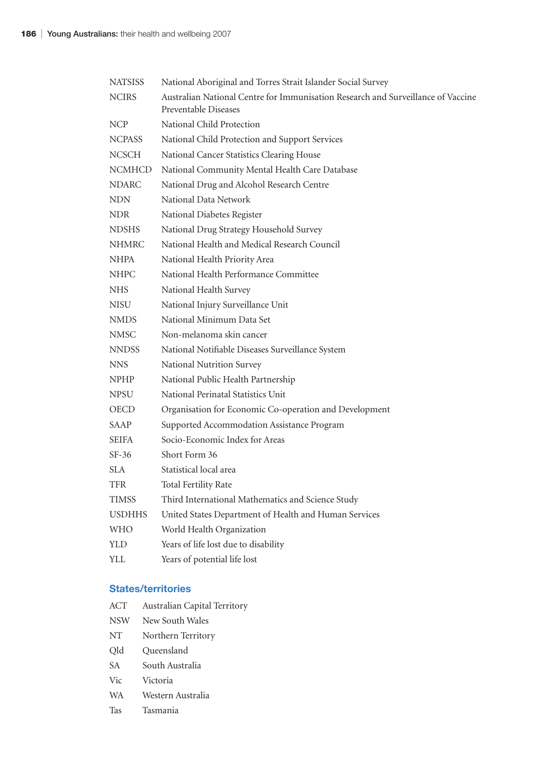| <b>NATSISS</b> | National Aboriginal and Torres Strait Islander Social Survey                                             |
|----------------|----------------------------------------------------------------------------------------------------------|
| <b>NCIRS</b>   | Australian National Centre for Immunisation Research and Surveillance of Vaccine<br>Preventable Diseases |
| NCP            | National Child Protection                                                                                |
| <b>NCPASS</b>  | National Child Protection and Support Services                                                           |
| <b>NCSCH</b>   | National Cancer Statistics Clearing House                                                                |
| <b>NCMHCD</b>  | National Community Mental Health Care Database                                                           |
| <b>NDARC</b>   | National Drug and Alcohol Research Centre                                                                |
| <b>NDN</b>     | National Data Network                                                                                    |
| <b>NDR</b>     | National Diabetes Register                                                                               |
| <b>NDSHS</b>   | National Drug Strategy Household Survey                                                                  |
| <b>NHMRC</b>   | National Health and Medical Research Council                                                             |
| NHPA           | National Health Priority Area                                                                            |
| <b>NHPC</b>    | National Health Performance Committee                                                                    |
| <b>NHS</b>     | National Health Survey                                                                                   |
| <b>NISU</b>    | National Injury Surveillance Unit                                                                        |
| <b>NMDS</b>    | National Minimum Data Set                                                                                |
| <b>NMSC</b>    | Non-melanoma skin cancer                                                                                 |
| <b>NNDSS</b>   | National Notifiable Diseases Surveillance System                                                         |
| <b>NNS</b>     | National Nutrition Survey                                                                                |
| <b>NPHP</b>    | National Public Health Partnership                                                                       |
| <b>NPSU</b>    | National Perinatal Statistics Unit                                                                       |
| OECD           | Organisation for Economic Co-operation and Development                                                   |
| <b>SAAP</b>    | Supported Accommodation Assistance Program                                                               |
| <b>SEIFA</b>   | Socio-Economic Index for Areas                                                                           |
| $SF-36$        | Short Form 36                                                                                            |
| <b>SLA</b>     | Statistical local area                                                                                   |
| TFR            | <b>Total Fertility Rate</b>                                                                              |
| <b>TIMSS</b>   | Third International Mathematics and Science Study                                                        |
| <b>USDHHS</b>  | United States Department of Health and Human Services                                                    |
| <b>WHO</b>     | World Health Organization                                                                                |
| <b>YLD</b>     | Years of life lost due to disability                                                                     |
| YLL            | Years of potential life lost                                                                             |
|                |                                                                                                          |

## **States/territories**

| ACT        | Australian Capital Territory |
|------------|------------------------------|
| <b>NSW</b> | New South Wales              |
| <b>NT</b>  | Northern Territory           |
| Qld        | Queensland                   |
| <b>SA</b>  | South Australia              |
| Vic        | Victoria                     |
| <b>WA</b>  | Western Australia            |
| Tas        | Tasmania                     |
|            |                              |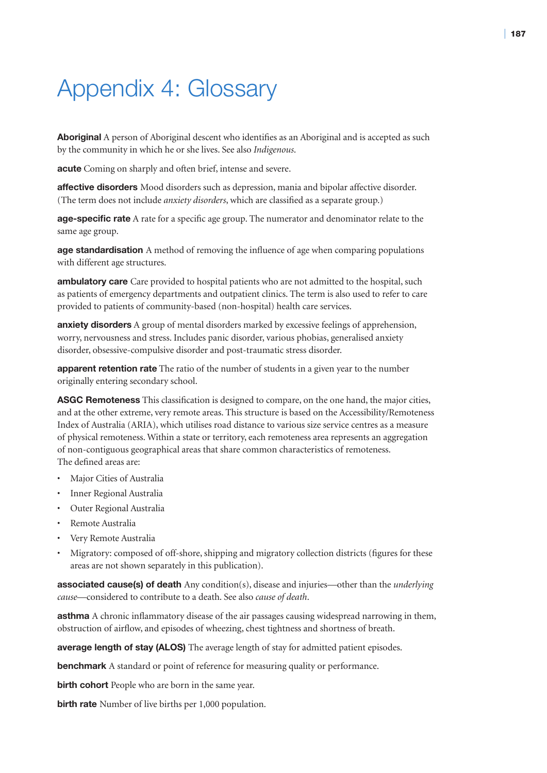## Appendix 4: Glossary

**Aboriginal** A person of Aboriginal descent who identifies as an Aboriginal and is accepted as such by the community in which he or she lives. See also *Indigenous*.

**acute** Coming on sharply and often brief, intense and severe.

**affective disorders** Mood disorders such as depression, mania and bipolar affective disorder. (The term does not include *anxiety disorders*, which are classified as a separate group.)

**age-specific rate** A rate for a specific age group. The numerator and denominator relate to the same age group.

**age standardisation** A method of removing the influence of age when comparing populations with different age structures.

**ambulatory care** Care provided to hospital patients who are not admitted to the hospital, such as patients of emergency departments and outpatient clinics. The term is also used to refer to care provided to patients of community-based (non-hospital) health care services.

**anxiety disorders** A group of mental disorders marked by excessive feelings of apprehension, worry, nervousness and stress. Includes panic disorder, various phobias, generalised anxiety disorder, obsessive-compulsive disorder and post-traumatic stress disorder.

**apparent retention rate** The ratio of the number of students in a given year to the number originally entering secondary school.

**ASGC Remoteness** This classification is designed to compare, on the one hand, the major cities, and at the other extreme, very remote areas. This structure is based on the Accessibility/Remoteness Index of Australia (ARIA), which utilises road distance to various size service centres as a measure of physical remoteness. Within a state or territory, each remoteness area represents an aggregation of non-contiguous geographical areas that share common characteristics of remoteness. The defined areas are:

- Major Cities of Australia
- Inner Regional Australia
- Outer Regional Australia
- Remote Australia
- Very Remote Australia
- Migratory: composed of off-shore, shipping and migratory collection districts (figures for these areas are not shown separately in this publication).

**associated cause(s) of death** Any condition(s), disease and injuries—other than the *underlying cause*—considered to contribute to a death. See also *cause of death*.

**asthma** A chronic inflammatory disease of the air passages causing widespread narrowing in them, obstruction of airflow, and episodes of wheezing, chest tightness and shortness of breath.

**average length of stay (ALOS)** The average length of stay for admitted patient episodes.

**benchmark** A standard or point of reference for measuring quality or performance.

**birth cohort** People who are born in the same year.

**birth rate** Number of live births per 1,000 population.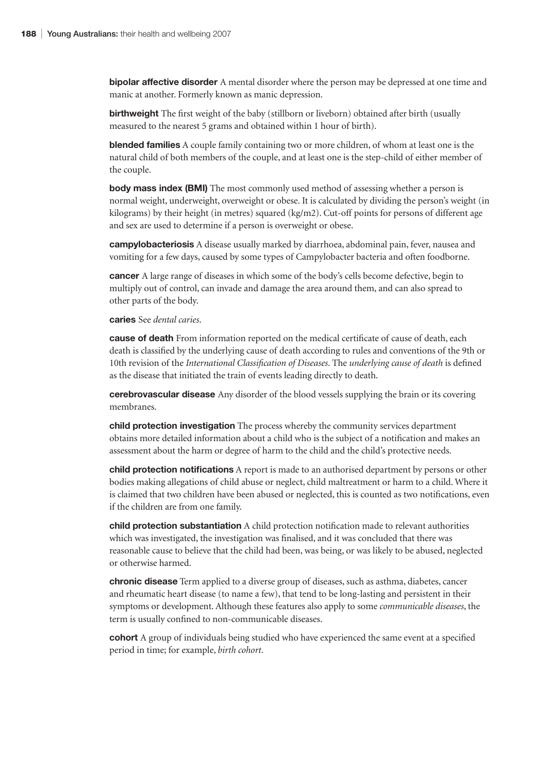**bipolar affective disorder** A mental disorder where the person may be depressed at one time and manic at another. Formerly known as manic depression.

**birthweight** The first weight of the baby (stillborn or liveborn) obtained after birth (usually measured to the nearest 5 grams and obtained within 1 hour of birth).

**blended families** A couple family containing two or more children, of whom at least one is the natural child of both members of the couple, and at least one is the step-child of either member of the couple.

**body mass index (BMI)** The most commonly used method of assessing whether a person is normal weight, underweight, overweight or obese. It is calculated by dividing the person's weight (in kilograms) by their height (in metres) squared (kg/m2). Cut-off points for persons of different age and sex are used to determine if a person is overweight or obese.

**campylobacteriosis** A disease usually marked by diarrhoea, abdominal pain, fever, nausea and vomiting for a few days, caused by some types of Campylobacter bacteria and often foodborne.

**cancer** A large range of diseases in which some of the body's cells become defective, begin to multiply out of control, can invade and damage the area around them, and can also spread to other parts of the body.

**caries** See *dental caries*.

**cause of death** From information reported on the medical certificate of cause of death, each death is classified by the underlying cause of death according to rules and conventions of the 9th or 10th revision of the *International Classification of Diseases*. The *underlying cause of death* is defined as the disease that initiated the train of events leading directly to death.

**cerebrovascular disease** Any disorder of the blood vessels supplying the brain or its covering membranes.

**child protection investigation** The process whereby the community services department obtains more detailed information about a child who is the subject of a notification and makes an assessment about the harm or degree of harm to the child and the child's protective needs.

**child protection notifications** A report is made to an authorised department by persons or other bodies making allegations of child abuse or neglect, child maltreatment or harm to a child. Where it is claimed that two children have been abused or neglected, this is counted as two notifications, even if the children are from one family.

**child protection substantiation** A child protection notification made to relevant authorities which was investigated, the investigation was finalised, and it was concluded that there was reasonable cause to believe that the child had been, was being, or was likely to be abused, neglected or otherwise harmed.

**chronic disease** Term applied to a diverse group of diseases, such as asthma, diabetes, cancer and rheumatic heart disease (to name a few), that tend to be long-lasting and persistent in their symptoms or development. Although these features also apply to some *communicable diseases*, the term is usually confined to non-communicable diseases.

**cohort** A group of individuals being studied who have experienced the same event at a specified period in time; for example, *birth cohort*.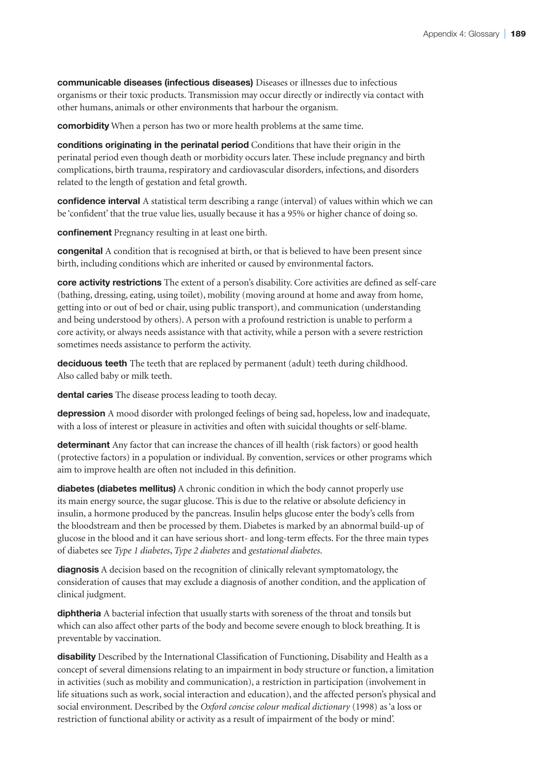**communicable diseases (infectious diseases)** Diseases or illnesses due to infectious organisms or their toxic products. Transmission may occur directly or indirectly via contact with other humans, animals or other environments that harbour the organism.

**comorbidity** When a person has two or more health problems at the same time.

**conditions originating in the perinatal period** Conditions that have their origin in the perinatal period even though death or morbidity occurs later. These include pregnancy and birth complications, birth trauma, respiratory and cardiovascular disorders, infections, and disorders related to the length of gestation and fetal growth.

**confidence interval** A statistical term describing a range (interval) of values within which we can be 'confident' that the true value lies, usually because it has a 95% or higher chance of doing so.

**confinement** Pregnancy resulting in at least one birth.

**congenital** A condition that is recognised at birth, or that is believed to have been present since birth, including conditions which are inherited or caused by environmental factors.

**core activity restrictions** The extent of a person's disability. Core activities are defined as self-care (bathing, dressing, eating, using toilet), mobility (moving around at home and away from home, getting into or out of bed or chair, using public transport), and communication (understanding and being understood by others). A person with a profound restriction is unable to perform a core activity, or always needs assistance with that activity, while a person with a severe restriction sometimes needs assistance to perform the activity.

**deciduous teeth** The teeth that are replaced by permanent (adult) teeth during childhood. Also called baby or milk teeth.

**dental caries** The disease process leading to tooth decay.

**depression** A mood disorder with prolonged feelings of being sad, hopeless, low and inadequate, with a loss of interest or pleasure in activities and often with suicidal thoughts or self-blame.

**determinant** Any factor that can increase the chances of ill health (risk factors) or good health (protective factors) in a population or individual. By convention, services or other programs which aim to improve health are often not included in this definition.

**diabetes (diabetes mellitus)** A chronic condition in which the body cannot properly use its main energy source, the sugar glucose. This is due to the relative or absolute deficiency in insulin, a hormone produced by the pancreas. Insulin helps glucose enter the body's cells from the bloodstream and then be processed by them. Diabetes is marked by an abnormal build-up of glucose in the blood and it can have serious short- and long-term effects. For the three main types of diabetes see *Type 1 diabetes*, *Type 2 diabetes* and *gestational diabetes*.

**diagnosis** A decision based on the recognition of clinically relevant symptomatology, the consideration of causes that may exclude a diagnosis of another condition, and the application of clinical judgment.

**diphtheria** A bacterial infection that usually starts with soreness of the throat and tonsils but which can also affect other parts of the body and become severe enough to block breathing. It is preventable by vaccination.

**disability** Described by the International Classification of Functioning, Disability and Health as a concept of several dimensions relating to an impairment in body structure or function, a limitation in activities (such as mobility and communication), a restriction in participation (involvement in life situations such as work, social interaction and education), and the affected person's physical and social environment. Described by the *Oxford concise colour medical dictionary* (1998) as 'a loss or restriction of functional ability or activity as a result of impairment of the body or mind'.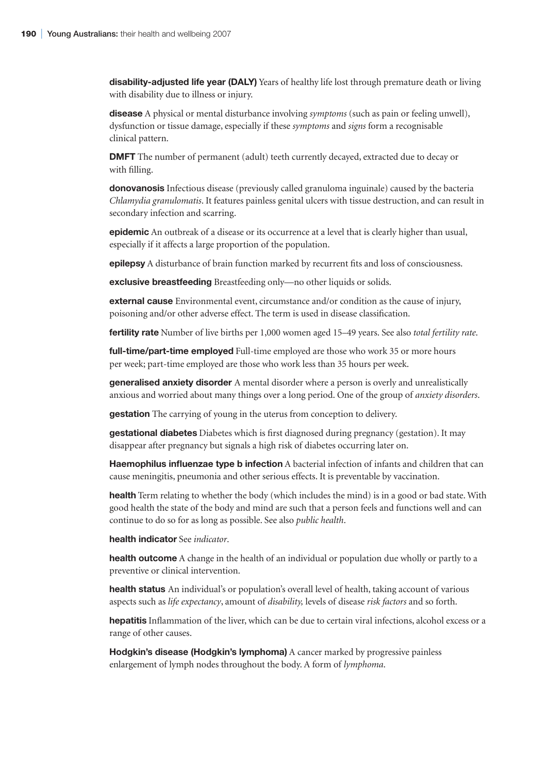**disability-adjusted life year (DALY)** Years of healthy life lost through premature death or living with disability due to illness or injury.

**disease** A physical or mental disturbance involving *symptoms* (such as pain or feeling unwell), dysfunction or tissue damage, especially if these *symptoms* and *signs* form a recognisable clinical pattern.

**DMFT** The number of permanent (adult) teeth currently decayed, extracted due to decay or with filling.

**donovanosis** Infectious disease (previously called granuloma inguinale) caused by the bacteria *Chlamydia granulomatis*. It features painless genital ulcers with tissue destruction, and can result in secondary infection and scarring.

**epidemic** An outbreak of a disease or its occurrence at a level that is clearly higher than usual, especially if it affects a large proportion of the population.

**epilepsy** A disturbance of brain function marked by recurrent fits and loss of consciousness.

**exclusive breastfeeding** Breastfeeding only—no other liquids or solids.

**external cause** Environmental event, circumstance and/or condition as the cause of injury, poisoning and/or other adverse effect. The term is used in disease classification.

**fertility rate** Number of live births per 1,000 women aged 15–49 years. See also *total fertility rate*.

**full-time/part-time employed** Full-time employed are those who work 35 or more hours per week; part-time employed are those who work less than 35 hours per week.

**generalised anxiety disorder** A mental disorder where a person is overly and unrealistically anxious and worried about many things over a long period. One of the group of *anxiety disorders*.

**gestation** The carrying of young in the uterus from conception to delivery.

**gestational diabetes** Diabetes which is first diagnosed during pregnancy (gestation). It may disappear after pregnancy but signals a high risk of diabetes occurring later on.

**Haemophilus influenzae type b infection** A bacterial infection of infants and children that can cause meningitis, pneumonia and other serious effects. It is preventable by vaccination.

**health** Term relating to whether the body (which includes the mind) is in a good or bad state. With good health the state of the body and mind are such that a person feels and functions well and can continue to do so for as long as possible. See also *public health*.

**health indicator** See *indicator*.

**health outcome** A change in the health of an individual or population due wholly or partly to a preventive or clinical intervention.

**health status** An individual's or population's overall level of health, taking account of various aspects such as *life expectancy*, amount of *disability,* levels of disease *risk factors* and so forth.

**hepatitis** Inflammation of the liver, which can be due to certain viral infections, alcohol excess or a range of other causes.

**Hodgkin's disease (Hodgkin's lymphoma)** A cancer marked by progressive painless enlargement of lymph nodes throughout the body. A form of *lymphoma*.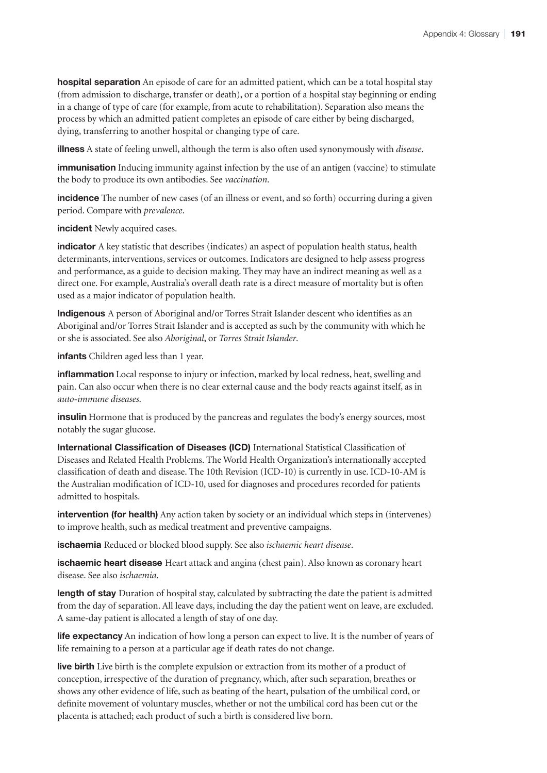**hospital separation** An episode of care for an admitted patient, which can be a total hospital stay (from admission to discharge, transfer or death), or a portion of a hospital stay beginning or ending in a change of type of care (for example, from acute to rehabilitation). Separation also means the process by which an admitted patient completes an episode of care either by being discharged, dying, transferring to another hospital or changing type of care.

**illness** A state of feeling unwell, although the term is also often used synonymously with *disease*.

**immunisation** Inducing immunity against infection by the use of an antigen (vaccine) to stimulate the body to produce its own antibodies. See *vaccination*.

**incidence** The number of new cases (of an illness or event, and so forth) occurring during a given period. Compare with *prevalence*.

**incident** Newly acquired cases.

**indicator** A key statistic that describes (indicates) an aspect of population health status, health determinants, interventions, services or outcomes. Indicators are designed to help assess progress and performance, as a guide to decision making. They may have an indirect meaning as well as a direct one. For example, Australia's overall death rate is a direct measure of mortality but is often used as a major indicator of population health.

**Indigenous** A person of Aboriginal and/or Torres Strait Islander descent who identifies as an Aboriginal and/or Torres Strait Islander and is accepted as such by the community with which he or she is associated. See also *Aboriginal*, or *Torres Strait Islander*.

**infants** Children aged less than 1 year.

**inflammation** Local response to injury or infection, marked by local redness, heat, swelling and pain. Can also occur when there is no clear external cause and the body reacts against itself, as in *auto-immune diseases*.

**insulin** Hormone that is produced by the pancreas and regulates the body's energy sources, most notably the sugar glucose.

**International Classification of Diseases (ICD)** International Statistical Classification of Diseases and Related Health Problems. The World Health Organization's internationally accepted classification of death and disease. The 10th Revision (ICD-10) is currently in use. ICD-10-AM is the Australian modification of ICD-10, used for diagnoses and procedures recorded for patients admitted to hospitals.

**intervention (for health)** Any action taken by society or an individual which steps in (intervenes) to improve health, such as medical treatment and preventive campaigns.

**ischaemia** Reduced or blocked blood supply. See also *ischaemic heart disease*.

**ischaemic heart disease** Heart attack and angina (chest pain). Also known as coronary heart disease. See also *ischaemia*.

**length of stay** Duration of hospital stay, calculated by subtracting the date the patient is admitted from the day of separation. All leave days, including the day the patient went on leave, are excluded. A same-day patient is allocated a length of stay of one day.

**life expectancy** An indication of how long a person can expect to live. It is the number of years of life remaining to a person at a particular age if death rates do not change.

**live birth** Live birth is the complete expulsion or extraction from its mother of a product of conception, irrespective of the duration of pregnancy, which, after such separation, breathes or shows any other evidence of life, such as beating of the heart, pulsation of the umbilical cord, or definite movement of voluntary muscles, whether or not the umbilical cord has been cut or the placenta is attached; each product of such a birth is considered live born.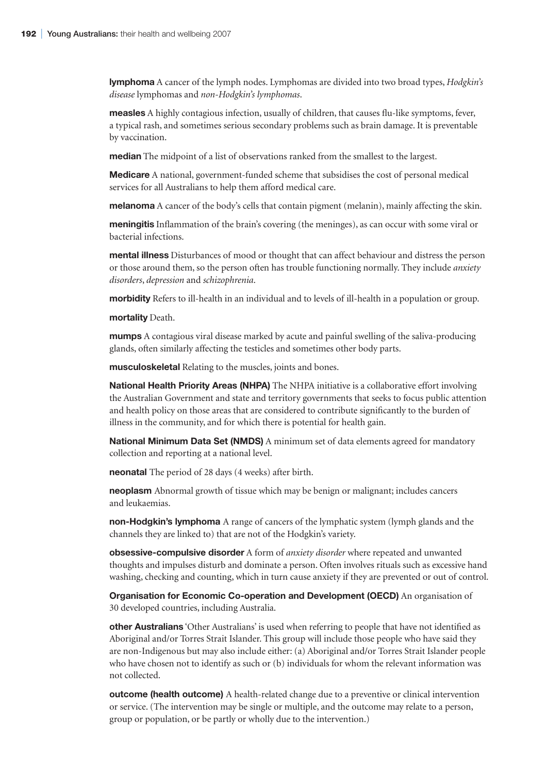**lymphoma** A cancer of the lymph nodes. Lymphomas are divided into two broad types, *Hodgkin's disease* lymphomas and *non-Hodgkin's lymphomas*.

**measles** A highly contagious infection, usually of children, that causes flu-like symptoms, fever, a typical rash, and sometimes serious secondary problems such as brain damage. It is preventable by vaccination.

**median** The midpoint of a list of observations ranked from the smallest to the largest.

**Medicare** A national, government-funded scheme that subsidises the cost of personal medical services for all Australians to help them afford medical care.

**melanoma** A cancer of the body's cells that contain pigment (melanin), mainly affecting the skin.

**meningitis** Inflammation of the brain's covering (the meninges), as can occur with some viral or bacterial infections.

**mental illness** Disturbances of mood or thought that can affect behaviour and distress the person or those around them, so the person often has trouble functioning normally. They include *anxiety disorders*, *depression* and *schizophrenia*.

**morbidity** Refers to ill-health in an individual and to levels of ill-health in a population or group.

**mortality** Death.

**mumps** A contagious viral disease marked by acute and painful swelling of the saliva-producing glands, often similarly affecting the testicles and sometimes other body parts.

**musculoskeletal** Relating to the muscles, joints and bones.

**National Health Priority Areas (NHPA)** The NHPA initiative is a collaborative effort involving the Australian Government and state and territory governments that seeks to focus public attention and health policy on those areas that are considered to contribute significantly to the burden of illness in the community, and for which there is potential for health gain.

**National Minimum Data Set (NMDS)** A minimum set of data elements agreed for mandatory collection and reporting at a national level.

**neonatal** The period of 28 days (4 weeks) after birth.

**neoplasm** Abnormal growth of tissue which may be benign or malignant; includes cancers and leukaemias.

**non-Hodgkin's lymphoma** A range of cancers of the lymphatic system (lymph glands and the channels they are linked to) that are not of the Hodgkin's variety.

**obsessive-compulsive disorder** A form of *anxiety disorder* where repeated and unwanted thoughts and impulses disturb and dominate a person. Often involves rituals such as excessive hand washing, checking and counting, which in turn cause anxiety if they are prevented or out of control.

**Organisation for Economic Co-operation and Development (OECD)** An organisation of 30 developed countries, including Australia.

**other Australians** 'Other Australians' is used when referring to people that have not identified as Aboriginal and/or Torres Strait Islander. This group will include those people who have said they are non-Indigenous but may also include either: (a) Aboriginal and/or Torres Strait Islander people who have chosen not to identify as such or (b) individuals for whom the relevant information was not collected.

**outcome (health outcome)** A health-related change due to a preventive or clinical intervention or service. (The intervention may be single or multiple, and the outcome may relate to a person, group or population, or be partly or wholly due to the intervention.)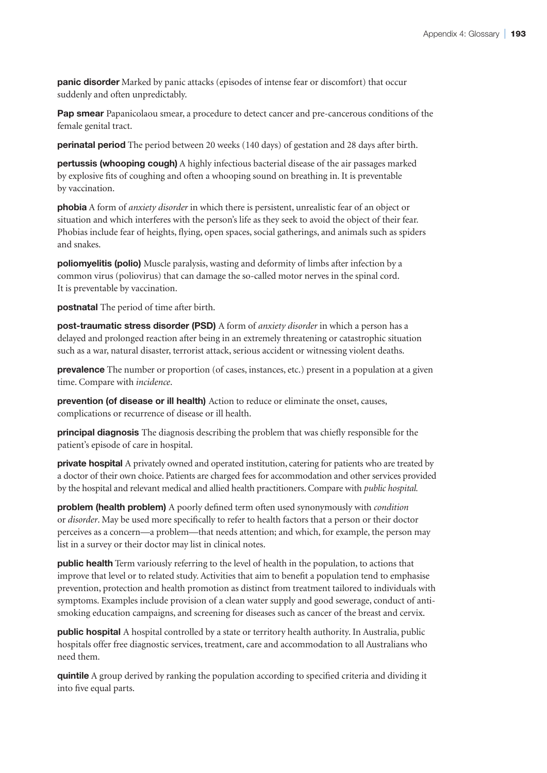**panic disorder** Marked by panic attacks (episodes of intense fear or discomfort) that occur suddenly and often unpredictably.

**Pap smear** Papanicolaou smear, a procedure to detect cancer and pre-cancerous conditions of the female genital tract.

**perinatal period** The period between 20 weeks (140 days) of gestation and 28 days after birth.

**pertussis (whooping cough)** A highly infectious bacterial disease of the air passages marked by explosive fits of coughing and often a whooping sound on breathing in. It is preventable by vaccination.

**phobia** A form of *anxiety disorder* in which there is persistent, unrealistic fear of an object or situation and which interferes with the person's life as they seek to avoid the object of their fear. Phobias include fear of heights, flying, open spaces, social gatherings, and animals such as spiders and snakes.

**poliomyelitis (polio)** Muscle paralysis, wasting and deformity of limbs after infection by a common virus (poliovirus) that can damage the so-called motor nerves in the spinal cord. It is preventable by vaccination.

**postnatal** The period of time after birth.

**post-traumatic stress disorder (PSD)** A form of *anxiety disorder* in which a person has a delayed and prolonged reaction after being in an extremely threatening or catastrophic situation such as a war, natural disaster, terrorist attack, serious accident or witnessing violent deaths.

**prevalence** The number or proportion (of cases, instances, etc.) present in a population at a given time. Compare with *incidence*.

**prevention (of disease or ill health)** Action to reduce or eliminate the onset, causes, complications or recurrence of disease or ill health.

**principal diagnosis** The diagnosis describing the problem that was chiefly responsible for the patient's episode of care in hospital.

**private hospital** A privately owned and operated institution, catering for patients who are treated by a doctor of their own choice. Patients are charged fees for accommodation and other services provided by the hospital and relevant medical and allied health practitioners. Compare with *public hospital.*

**problem (health problem)** A poorly defined term often used synonymously with *condition*  or *disorder*. May be used more specifically to refer to health factors that a person or their doctor perceives as a concern—a problem—that needs attention; and which, for example, the person may list in a survey or their doctor may list in clinical notes.

**public health** Term variously referring to the level of health in the population, to actions that improve that level or to related study. Activities that aim to benefit a population tend to emphasise prevention, protection and health promotion as distinct from treatment tailored to individuals with symptoms. Examples include provision of a clean water supply and good sewerage, conduct of antismoking education campaigns, and screening for diseases such as cancer of the breast and cervix.

**public hospital** A hospital controlled by a state or territory health authority. In Australia, public hospitals offer free diagnostic services, treatment, care and accommodation to all Australians who need them.

**quintile** A group derived by ranking the population according to specified criteria and dividing it into five equal parts.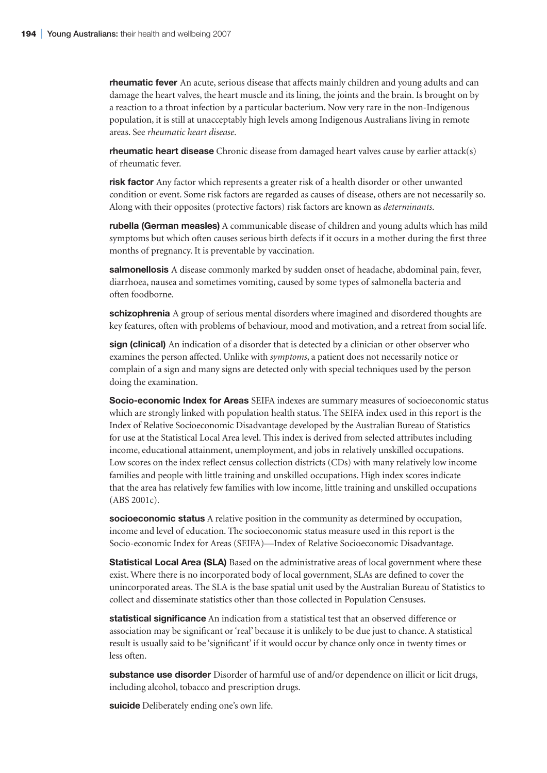**rheumatic fever** An acute, serious disease that affects mainly children and young adults and can damage the heart valves, the heart muscle and its lining, the joints and the brain. Is brought on by a reaction to a throat infection by a particular bacterium. Now very rare in the non-Indigenous population, it is still at unacceptably high levels among Indigenous Australians living in remote areas. See *rheumatic heart disease*.

**rheumatic heart disease** Chronic disease from damaged heart valves cause by earlier attack(s) of rheumatic fever.

**risk factor** Any factor which represents a greater risk of a health disorder or other unwanted condition or event. Some risk factors are regarded as causes of disease, others are not necessarily so. Along with their opposites (protective factors) risk factors are known as *determinants*.

**rubella (German measles)** A communicable disease of children and young adults which has mild symptoms but which often causes serious birth defects if it occurs in a mother during the first three months of pregnancy. It is preventable by vaccination.

**salmonellosis** A disease commonly marked by sudden onset of headache, abdominal pain, fever, diarrhoea, nausea and sometimes vomiting, caused by some types of salmonella bacteria and often foodborne.

**schizophrenia** A group of serious mental disorders where imagined and disordered thoughts are key features, often with problems of behaviour, mood and motivation, and a retreat from social life.

**sign (clinical)** An indication of a disorder that is detected by a clinician or other observer who examines the person affected. Unlike with *symptoms*, a patient does not necessarily notice or complain of a sign and many signs are detected only with special techniques used by the person doing the examination.

**Socio-economic Index for Areas** SEIFA indexes are summary measures of socioeconomic status which are strongly linked with population health status. The SEIFA index used in this report is the Index of Relative Socioeconomic Disadvantage developed by the Australian Bureau of Statistics for use at the Statistical Local Area level. This index is derived from selected attributes including income, educational attainment, unemployment, and jobs in relatively unskilled occupations. Low scores on the index reflect census collection districts (CDs) with many relatively low income families and people with little training and unskilled occupations. High index scores indicate that the area has relatively few families with low income, little training and unskilled occupations (ABS 2001c).

**socioeconomic status** A relative position in the community as determined by occupation, income and level of education. The socioeconomic status measure used in this report is the Socio-economic Index for Areas (SEIFA)—Index of Relative Socioeconomic Disadvantage.

**Statistical Local Area (SLA)** Based on the administrative areas of local government where these exist. Where there is no incorporated body of local government, SLAs are defined to cover the unincorporated areas. The SLA is the base spatial unit used by the Australian Bureau of Statistics to collect and disseminate statistics other than those collected in Population Censuses.

**statistical significance** An indication from a statistical test that an observed difference or association may be significant or 'real' because it is unlikely to be due just to chance. A statistical result is usually said to be 'significant' if it would occur by chance only once in twenty times or less often.

**substance use disorder** Disorder of harmful use of and/or dependence on illicit or licit drugs, including alcohol, tobacco and prescription drugs.

**suicide** Deliberately ending one's own life.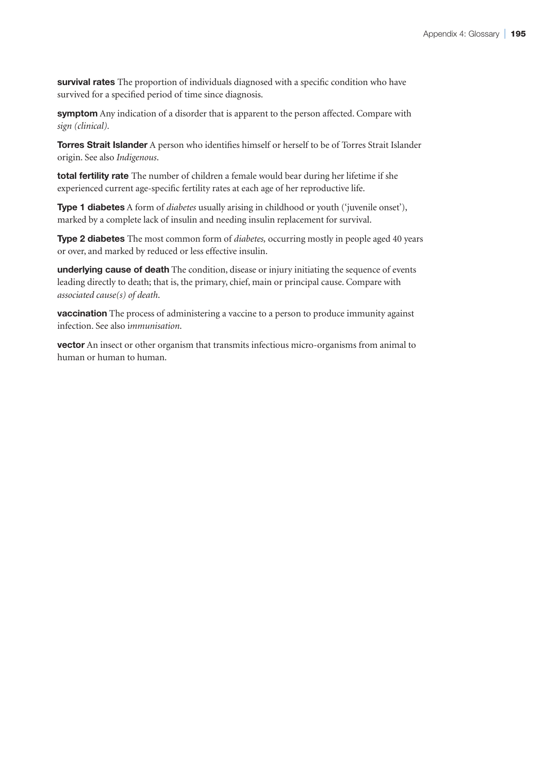**survival rates** The proportion of individuals diagnosed with a specific condition who have survived for a specified period of time since diagnosis.

**symptom** Any indication of a disorder that is apparent to the person affected. Compare with *sign (clinical).*

**Torres Strait Islander** A person who identifies himself or herself to be of Torres Strait Islander origin. See also *Indigenous*.

**total fertility rate** The number of children a female would bear during her lifetime if she experienced current age-specific fertility rates at each age of her reproductive life.

**Type 1 diabetes** A form of *diabetes* usually arising in childhood or youth ('juvenile onset'), marked by a complete lack of insulin and needing insulin replacement for survival.

**Type 2 diabetes** The most common form of *diabetes,* occurring mostly in people aged 40 years or over, and marked by reduced or less effective insulin.

**underlying cause of death** The condition, disease or injury initiating the sequence of events leading directly to death; that is, the primary, chief, main or principal cause. Compare with *associated cause(s) of death*.

**vaccination** The process of administering a vaccine to a person to produce immunity against infection. See also i*mmunisation*.

**vector** An insect or other organism that transmits infectious micro-organisms from animal to human or human to human.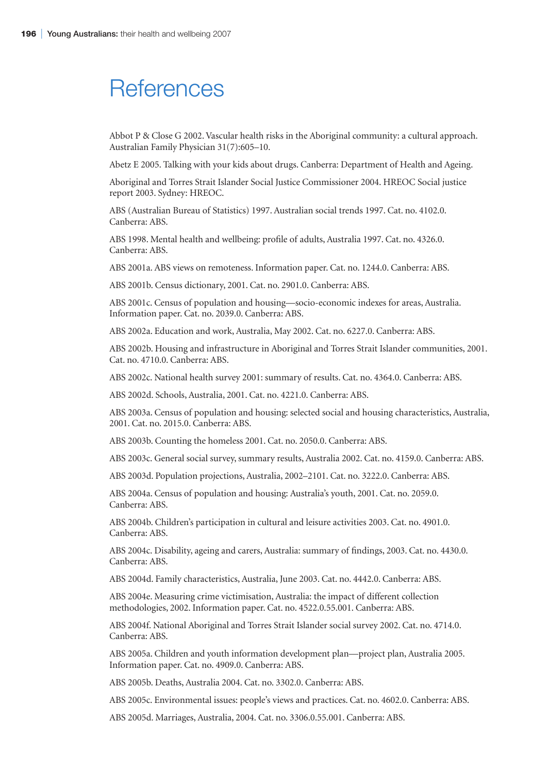## **References**

Abbot P & Close G 2002. Vascular health risks in the Aboriginal community: a cultural approach. Australian Family Physician 31(7):605–10.

Abetz E 2005. Talking with your kids about drugs. Canberra: Department of Health and Ageing.

Aboriginal and Torres Strait Islander Social Justice Commissioner 2004. HREOC Social justice report 2003. Sydney: HREOC.

ABS (Australian Bureau of Statistics) 1997. Australian social trends 1997. Cat. no. 4102.0. Canberra: ABS.

ABS 1998. Mental health and wellbeing: profile of adults, Australia 1997. Cat. no. 4326.0. Canberra: ABS.

ABS 2001a. ABS views on remoteness. Information paper. Cat. no. 1244.0. Canberra: ABS.

ABS 2001b. Census dictionary, 2001. Cat. no. 2901.0. Canberra: ABS.

ABS 2001c. Census of population and housing—socio-economic indexes for areas, Australia. Information paper. Cat. no. 2039.0. Canberra: ABS.

ABS 2002a. Education and work, Australia, May 2002. Cat. no. 6227.0. Canberra: ABS.

ABS 2002b. Housing and infrastructure in Aboriginal and Torres Strait Islander communities, 2001. Cat. no. 4710.0. Canberra: ABS.

ABS 2002c. National health survey 2001: summary of results. Cat. no. 4364.0. Canberra: ABS.

ABS 2002d. Schools, Australia, 2001. Cat. no. 4221.0. Canberra: ABS.

ABS 2003a. Census of population and housing: selected social and housing characteristics, Australia, 2001. Cat. no. 2015.0. Canberra: ABS.

ABS 2003b. Counting the homeless 2001. Cat. no. 2050.0. Canberra: ABS.

ABS 2003c. General social survey, summary results, Australia 2002. Cat. no. 4159.0. Canberra: ABS.

ABS 2003d. Population projections, Australia, 2002–2101. Cat. no. 3222.0. Canberra: ABS.

ABS 2004a. Census of population and housing: Australia's youth, 2001. Cat. no. 2059.0. Canberra: ABS.

ABS 2004b. Children's participation in cultural and leisure activities 2003. Cat. no. 4901.0. Canberra: ABS.

ABS 2004c. Disability, ageing and carers, Australia: summary of findings, 2003. Cat. no. 4430.0. Canberra: ABS.

ABS 2004d. Family characteristics, Australia, June 2003. Cat. no. 4442.0. Canberra: ABS.

ABS 2004e. Measuring crime victimisation, Australia: the impact of different collection methodologies, 2002. Information paper. Cat. no. 4522.0.55.001. Canberra: ABS.

ABS 2004f. National Aboriginal and Torres Strait Islander social survey 2002. Cat. no. 4714.0. Canberra: ABS.

ABS 2005a. Children and youth information development plan—project plan, Australia 2005. Information paper. Cat. no. 4909.0. Canberra: ABS.

ABS 2005b. Deaths, Australia 2004. Cat. no. 3302.0. Canberra: ABS.

ABS 2005c. Environmental issues: people's views and practices. Cat. no. 4602.0. Canberra: ABS.

ABS 2005d. Marriages, Australia, 2004. Cat. no. 3306.0.55.001. Canberra: ABS.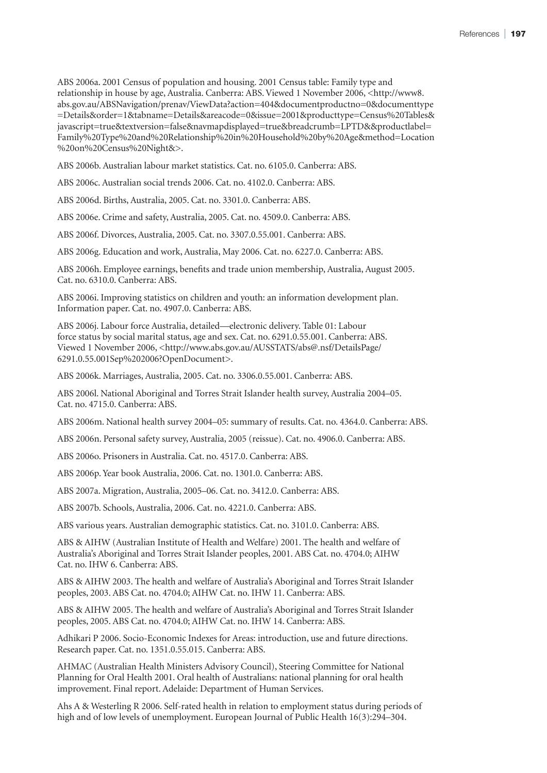ABS 2006a. 2001 Census of population and housing. 2001 Census table: Family type and relationship in house by age, Australia. Canberra: ABS. Viewed 1 November 2006, <http://www8. abs.gov.au/ABSNavigation/prenav/ViewData?action=404&documentproductno=0&documenttype =Details&order=1&tabname=Details&areacode=0&issue=2001&producttype=Census%20Tables& javascript=true&textversion=false&navmapdisplayed=true&breadcrumb=LPTD&&productlabel= Family%20Type%20and%20Relationship%20in%20Household%20by%20Age&method=Location %20on%20Census%20Night&>.

ABS 2006b. Australian labour market statistics. Cat. no. 6105.0. Canberra: ABS.

ABS 2006c. Australian social trends 2006. Cat. no. 4102.0. Canberra: ABS.

ABS 2006d. Births, Australia, 2005. Cat. no. 3301.0. Canberra: ABS.

ABS 2006e. Crime and safety, Australia, 2005. Cat. no. 4509.0. Canberra: ABS.

ABS 2006f. Divorces, Australia, 2005. Cat. no. 3307.0.55.001. Canberra: ABS.

ABS 2006g. Education and work, Australia, May 2006. Cat. no. 6227.0. Canberra: ABS.

ABS 2006h. Employee earnings, benefits and trade union membership, Australia, August 2005. Cat. no. 6310.0. Canberra: ABS.

ABS 2006i. Improving statistics on children and youth: an information development plan. Information paper. Cat. no. 4907.0. Canberra: ABS.

ABS 2006j. Labour force Australia, detailed—electronic delivery. Table 01: Labour force status by social marital status, age and sex. Cat. no. 6291.0.55.001. Canberra: ABS. Viewed 1 November 2006, <http://www.abs.gov.au/AUSSTATS/abs@.nsf/DetailsPage/ 6291.0.55.001Sep%202006?OpenDocument>.

ABS 2006k. Marriages, Australia, 2005. Cat. no. 3306.0.55.001. Canberra: ABS.

ABS 2006l. National Aboriginal and Torres Strait Islander health survey, Australia 2004–05. Cat. no. 4715.0. Canberra: ABS.

ABS 2006m. National health survey 2004–05: summary of results. Cat. no. 4364.0. Canberra: ABS.

ABS 2006n. Personal safety survey, Australia, 2005 (reissue). Cat. no. 4906.0. Canberra: ABS.

ABS 2006o. Prisoners in Australia. Cat. no. 4517.0. Canberra: ABS.

ABS 2006p. Year book Australia, 2006. Cat. no. 1301.0. Canberra: ABS.

ABS 2007a. Migration, Australia, 2005–06. Cat. no. 3412.0. Canberra: ABS.

ABS 2007b. Schools, Australia, 2006. Cat. no. 4221.0. Canberra: ABS.

ABS various years. Australian demographic statistics. Cat. no. 3101.0. Canberra: ABS.

ABS & AIHW (Australian Institute of Health and Welfare) 2001. The health and welfare of Australia's Aboriginal and Torres Strait Islander peoples, 2001. ABS Cat. no. 4704.0; AIHW Cat. no. IHW 6. Canberra: ABS.

ABS & AIHW 2003. The health and welfare of Australia's Aboriginal and Torres Strait Islander peoples, 2003. ABS Cat. no. 4704.0; AIHW Cat. no. IHW 11. Canberra: ABS.

ABS & AIHW 2005. The health and welfare of Australia's Aboriginal and Torres Strait Islander peoples, 2005. ABS Cat. no. 4704.0; AIHW Cat. no. IHW 14. Canberra: ABS.

Adhikari P 2006. Socio-Economic Indexes for Areas: introduction, use and future directions. Research paper. Cat. no. 1351.0.55.015. Canberra: ABS.

AHMAC (Australian Health Ministers Advisory Council), Steering Committee for National Planning for Oral Health 2001. Oral health of Australians: national planning for oral health improvement. Final report. Adelaide: Department of Human Services.

Ahs A & Westerling R 2006. Self-rated health in relation to employment status during periods of high and of low levels of unemployment. European Journal of Public Health 16(3):294–304.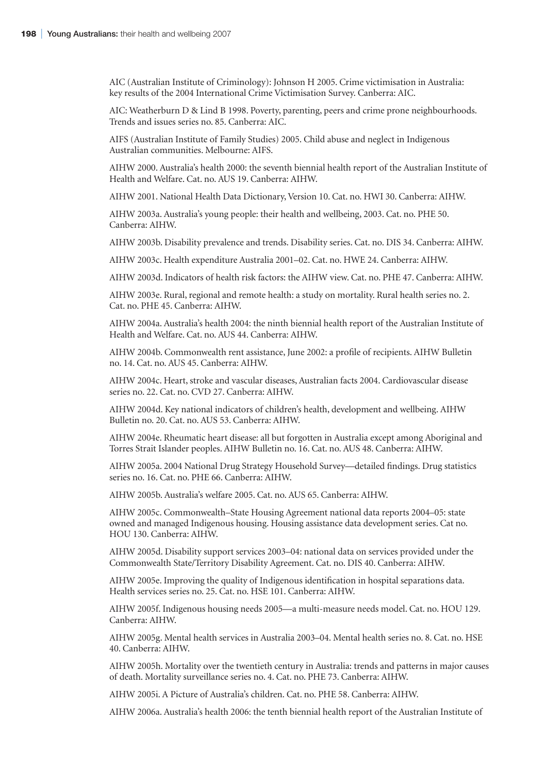AIC (Australian Institute of Criminology): Johnson H 2005. Crime victimisation in Australia: key results of the 2004 International Crime Victimisation Survey. Canberra: AIC.

AIC: Weatherburn D & Lind B 1998. Poverty, parenting, peers and crime prone neighbourhoods. Trends and issues series no. 85. Canberra: AIC.

AIFS (Australian Institute of Family Studies) 2005. Child abuse and neglect in Indigenous Australian communities. Melbourne: AIFS.

AIHW 2000. Australia's health 2000: the seventh biennial health report of the Australian Institute of Health and Welfare. Cat. no. AUS 19. Canberra: AIHW.

AIHW 2001. National Health Data Dictionary, Version 10. Cat. no. HWI 30. Canberra: AIHW.

AIHW 2003a. Australia's young people: their health and wellbeing, 2003. Cat. no. PHE 50. Canberra: AIHW.

AIHW 2003b. Disability prevalence and trends. Disability series. Cat. no. DIS 34. Canberra: AIHW.

AIHW 2003c. Health expenditure Australia 2001–02. Cat. no. HWE 24. Canberra: AIHW.

AIHW 2003d. Indicators of health risk factors: the AIHW view. Cat. no. PHE 47. Canberra: AIHW.

AIHW 2003e. Rural, regional and remote health: a study on mortality. Rural health series no. 2. Cat. no. PHE 45. Canberra: AIHW.

AIHW 2004a. Australia's health 2004: the ninth biennial health report of the Australian Institute of Health and Welfare. Cat. no. AUS 44. Canberra: AIHW.

AIHW 2004b. Commonwealth rent assistance, June 2002: a profile of recipients. AIHW Bulletin no. 14. Cat. no. AUS 45. Canberra: AIHW.

AIHW 2004c. Heart, stroke and vascular diseases, Australian facts 2004. Cardiovascular disease series no. 22. Cat. no. CVD 27. Canberra: AIHW.

AIHW 2004d. Key national indicators of children's health, development and wellbeing. AIHW Bulletin no. 20. Cat. no. AUS 53. Canberra: AIHW.

AIHW 2004e. Rheumatic heart disease: all but forgotten in Australia except among Aboriginal and Torres Strait Islander peoples. AIHW Bulletin no. 16. Cat. no. AUS 48. Canberra: AIHW.

AIHW 2005a. 2004 National Drug Strategy Household Survey—detailed findings. Drug statistics series no. 16. Cat. no. PHE 66. Canberra: AIHW.

AIHW 2005b. Australia's welfare 2005. Cat. no. AUS 65. Canberra: AIHW.

AIHW 2005c. Commonwealth–State Housing Agreement national data reports 2004–05: state owned and managed Indigenous housing. Housing assistance data development series. Cat no. HOU 130. Canberra: AIHW.

AIHW 2005d. Disability support services 2003–04: national data on services provided under the Commonwealth State/Territory Disability Agreement. Cat. no. DIS 40. Canberra: AIHW.

AIHW 2005e. Improving the quality of Indigenous identification in hospital separations data. Health services series no. 25. Cat. no. HSE 101. Canberra: AIHW.

AIHW 2005f. Indigenous housing needs 2005—a multi-measure needs model. Cat. no. HOU 129. Canberra: AIHW.

AIHW 2005g. Mental health services in Australia 2003–04. Mental health series no. 8. Cat. no. HSE 40. Canberra: AIHW.

AIHW 2005h. Mortality over the twentieth century in Australia: trends and patterns in major causes of death. Mortality surveillance series no. 4. Cat. no. PHE 73. Canberra: AIHW.

AIHW 2005i. A Picture of Australia's children. Cat. no. PHE 58. Canberra: AIHW.

AIHW 2006a. Australia's health 2006: the tenth biennial health report of the Australian Institute of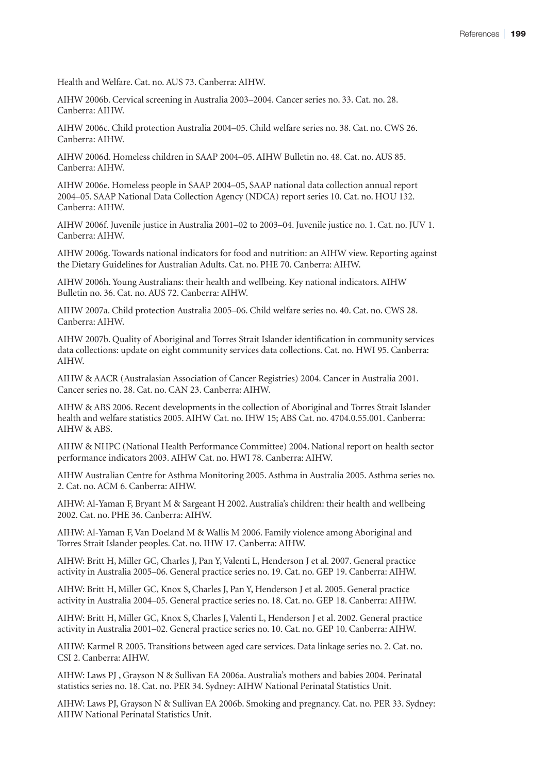Health and Welfare. Cat. no. AUS 73. Canberra: AIHW.

AIHW 2006b. Cervical screening in Australia 2003–2004. Cancer series no. 33. Cat. no. 28. Canberra: AIHW.

AIHW 2006c. Child protection Australia 2004–05. Child welfare series no. 38. Cat. no. CWS 26. Canberra: AIHW.

AIHW 2006d. Homeless children in SAAP 2004–05. AIHW Bulletin no. 48. Cat. no. AUS 85. Canberra: AIHW.

AIHW 2006e. Homeless people in SAAP 2004–05, SAAP national data collection annual report 2004–05. SAAP National Data Collection Agency (NDCA) report series 10. Cat. no. HOU 132. Canberra: AIHW.

AIHW 2006f. Juvenile justice in Australia 2001–02 to 2003–04. Juvenile justice no. 1. Cat. no. JUV 1. Canberra: AIHW.

AIHW 2006g. Towards national indicators for food and nutrition: an AIHW view. Reporting against the Dietary Guidelines for Australian Adults. Cat. no. PHE 70. Canberra: AIHW.

AIHW 2006h. Young Australians: their health and wellbeing. Key national indicators. AIHW Bulletin no. 36. Cat. no. AUS 72. Canberra: AIHW.

AIHW 2007a. Child protection Australia 2005–06. Child welfare series no. 40. Cat. no. CWS 28. Canberra: AIHW.

AIHW 2007b. Quality of Aboriginal and Torres Strait Islander identification in community services data collections: update on eight community services data collections. Cat. no. HWI 95. Canberra: AIHW.

AIHW & AACR (Australasian Association of Cancer Registries) 2004. Cancer in Australia 2001. Cancer series no. 28. Cat. no. CAN 23. Canberra: AIHW.

AIHW & ABS 2006. Recent developments in the collection of Aboriginal and Torres Strait Islander health and welfare statistics 2005. AIHW Cat. no. IHW 15; ABS Cat. no. 4704.0.55.001. Canberra: AIHW & ABS.

AIHW & NHPC (National Health Performance Committee) 2004. National report on health sector performance indicators 2003. AIHW Cat. no. HWI 78. Canberra: AIHW.

AIHW Australian Centre for Asthma Monitoring 2005. Asthma in Australia 2005. Asthma series no. 2. Cat. no. ACM 6. Canberra: AIHW.

AIHW: Al-Yaman F, Bryant M & Sargeant H 2002. Australia's children: their health and wellbeing 2002. Cat. no. PHE 36. Canberra: AIHW.

AIHW: Al-Yaman F, Van Doeland M & Wallis M 2006. Family violence among Aboriginal and Torres Strait Islander peoples. Cat. no. IHW 17. Canberra: AIHW.

AIHW: Britt H, Miller GC, Charles J, Pan Y, Valenti L, Henderson J et al. 2007. General practice activity in Australia 2005–06. General practice series no. 19. Cat. no. GEP 19. Canberra: AIHW.

AIHW: Britt H, Miller GC, Knox S, Charles J, Pan Y, Henderson J et al. 2005. General practice activity in Australia 2004–05. General practice series no. 18. Cat. no. GEP 18. Canberra: AIHW.

AIHW: Britt H, Miller GC, Knox S, Charles J, Valenti L, Henderson J et al. 2002. General practice activity in Australia 2001–02. General practice series no. 10. Cat. no. GEP 10. Canberra: AIHW.

AIHW: Karmel R 2005. Transitions between aged care services. Data linkage series no. 2. Cat. no. CSI 2. Canberra: AIHW.

AIHW: Laws PJ , Grayson N & Sullivan EA 2006a. Australia's mothers and babies 2004. Perinatal statistics series no. 18. Cat. no. PER 34. Sydney: AIHW National Perinatal Statistics Unit.

AIHW: Laws PJ, Grayson N & Sullivan EA 2006b. Smoking and pregnancy. Cat. no. PER 33. Sydney: AIHW National Perinatal Statistics Unit.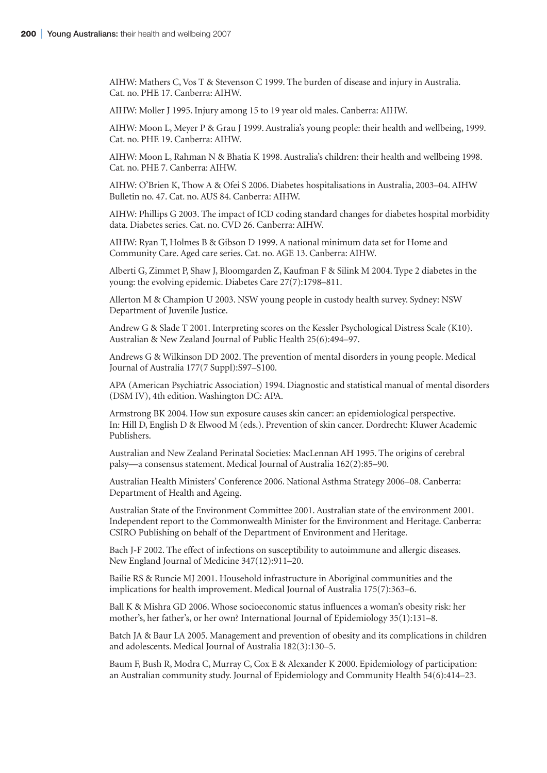AIHW: Mathers C, Vos T & Stevenson C 1999. The burden of disease and injury in Australia. Cat. no. PHE 17. Canberra: AIHW.

AIHW: Moller J 1995. Injury among 15 to 19 year old males. Canberra: AIHW.

AIHW: Moon L, Meyer P & Grau J 1999. Australia's young people: their health and wellbeing, 1999. Cat. no. PHE 19. Canberra: AIHW.

AIHW: Moon L, Rahman N & Bhatia K 1998. Australia's children: their health and wellbeing 1998. Cat. no. PHE 7. Canberra: AIHW.

AIHW: O'Brien K, Thow A & Ofei S 2006. Diabetes hospitalisations in Australia, 2003–04. AIHW Bulletin no. 47. Cat. no. AUS 84. Canberra: AIHW.

AIHW: Phillips G 2003. The impact of ICD coding standard changes for diabetes hospital morbidity data. Diabetes series. Cat. no. CVD 26. Canberra: AIHW.

AIHW: Ryan T, Holmes B & Gibson D 1999. A national minimum data set for Home and Community Care. Aged care series. Cat. no. AGE 13. Canberra: AIHW.

Alberti G, Zimmet P, Shaw J, Bloomgarden Z, Kaufman F & Silink M 2004. Type 2 diabetes in the young: the evolving epidemic. Diabetes Care 27(7):1798–811.

Allerton M & Champion U 2003. NSW young people in custody health survey. Sydney: NSW Department of Juvenile Justice.

Andrew G & Slade T 2001. Interpreting scores on the Kessler Psychological Distress Scale (K10). Australian & New Zealand Journal of Public Health 25(6):494–97.

Andrews G & Wilkinson DD 2002. The prevention of mental disorders in young people. Medical Journal of Australia 177(7 Suppl):S97–S100.

APA (American Psychiatric Association) 1994. Diagnostic and statistical manual of mental disorders (DSM IV), 4th edition. Washington DC: APA.

Armstrong BK 2004. How sun exposure causes skin cancer: an epidemiological perspective. In: Hill D, English D & Elwood M (eds.). Prevention of skin cancer. Dordrecht: Kluwer Academic Publishers.

Australian and New Zealand Perinatal Societies: MacLennan AH 1995. The origins of cerebral palsy—a consensus statement. Medical Journal of Australia 162(2):85–90.

Australian Health Ministers' Conference 2006. National Asthma Strategy 2006–08. Canberra: Department of Health and Ageing.

Australian State of the Environment Committee 2001. Australian state of the environment 2001. Independent report to the Commonwealth Minister for the Environment and Heritage. Canberra: CSIRO Publishing on behalf of the Department of Environment and Heritage.

Bach J-F 2002. The effect of infections on susceptibility to autoimmune and allergic diseases. New England Journal of Medicine 347(12):911–20.

Bailie RS & Runcie MJ 2001. Household infrastructure in Aboriginal communities and the implications for health improvement. Medical Journal of Australia 175(7):363–6.

Ball K & Mishra GD 2006. Whose socioeconomic status influences a woman's obesity risk: her mother's, her father's, or her own? International Journal of Epidemiology 35(1):131–8.

Batch JA & Baur LA 2005. Management and prevention of obesity and its complications in children and adolescents. Medical Journal of Australia 182(3):130–5.

Baum F, Bush R, Modra C, Murray C, Cox E & Alexander K 2000. Epidemiology of participation: an Australian community study. Journal of Epidemiology and Community Health 54(6):414–23.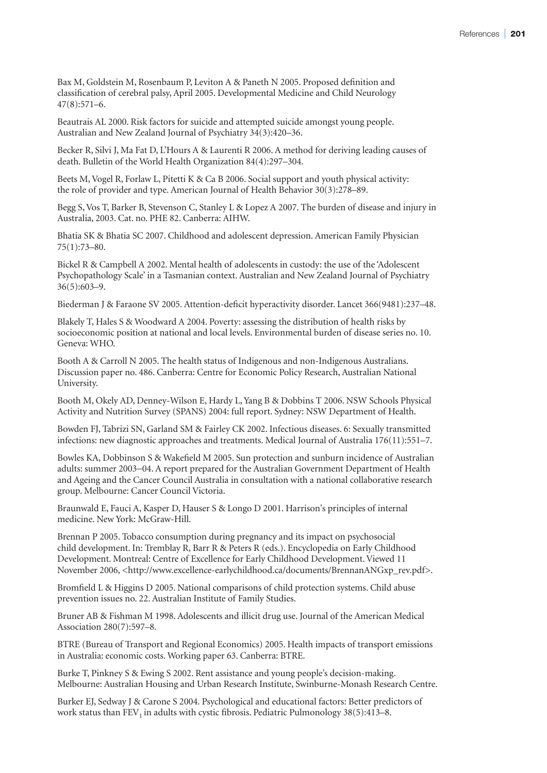Bax M, Goldstein M, Rosenbaum P, Leviton A & Paneth N 2005. Proposed definition and classification of cerebral palsy, April 2005. Developmental Medicine and Child Neurology 47(8):571–6.

Beautrais AL 2000. Risk factors for suicide and attempted suicide amongst young people. Australian and New Zealand Journal of Psychiatry 34(3):420–36.

Becker R, Silvi J, Ma Fat D, L'Hours A & Laurenti R 2006. A method for deriving leading causes of death. Bulletin of the World Health Organization 84(4):297–304.

Beets M, Vogel R, Forlaw L, Pitetti K & Ca B 2006. Social support and youth physical activity: the role of provider and type. American Journal of Health Behavior 30(3):278–89.

Begg S, Vos T, Barker B, Stevenson C, Stanley L & Lopez A 2007. The burden of disease and injury in Australia, 2003. Cat. no. PHE 82. Canberra: AIHW.

Bhatia SK & Bhatia SC 2007. Childhood and adolescent depression. American Family Physician 75(1):73–80.

Bickel R & Campbell A 2002. Mental health of adolescents in custody: the use of the 'Adolescent Psychopathology Scale' in a Tasmanian context. Australian and New Zealand Journal of Psychiatry 36(5):603–9.

Biederman J & Faraone SV 2005. Attention-deficit hyperactivity disorder. Lancet 366(9481):237–48.

Blakely T, Hales S & Woodward A 2004. Poverty: assessing the distribution of health risks by socioeconomic position at national and local levels. Environmental burden of disease series no. 10. Geneva: WHO.

Booth A & Carroll N 2005. The health status of Indigenous and non-Indigenous Australians. Discussion paper no. 486. Canberra: Centre for Economic Policy Research, Australian National University.

Booth M, Okely AD, Denney-Wilson E, Hardy L, Yang B & Dobbins T 2006. NSW Schools Physical Activity and Nutrition Survey (SPANS) 2004: full report. Sydney: NSW Department of Health.

Bowden FJ, Tabrizi SN, Garland SM & Fairley CK 2002. Infectious diseases. 6: Sexually transmitted infections: new diagnostic approaches and treatments. Medical Journal of Australia 176(11):551–7.

Bowles KA, Dobbinson S & Wakefield M 2005. Sun protection and sunburn incidence of Australian adults: summer 2003−04. A report prepared for the Australian Government Department of Health and Ageing and the Cancer Council Australia in consultation with a national collaborative research group. Melbourne: Cancer Council Victoria.

Braunwald E, Fauci A, Kasper D, Hauser S & Longo D 2001. Harrison's principles of internal medicine. New York: McGraw-Hill.

Brennan P 2005. Tobacco consumption during pregnancy and its impact on psychosocial child development. In: Tremblay R, Barr R & Peters R (eds.). Encyclopedia on Early Childhood Development. Montreal: Centre of Excellence for Early Childhood Development. Viewed 11 November 2006, <http://www.excellence-earlychildhood.ca/documents/BrennanANGxp\_rev.pdf>.

Bromfield L & Higgins D 2005. National comparisons of child protection systems. Child abuse prevention issues no. 22. Australian Institute of Family Studies.

Bruner AB & Fishman M 1998. Adolescents and illicit drug use. Journal of the American Medical Association 280(7):597–8.

BTRE (Bureau of Transport and Regional Economics) 2005. Health impacts of transport emissions in Australia: economic costs. Working paper 63. Canberra: BTRE.

Burke T, Pinkney S & Ewing S 2002. Rent assistance and young people's decision-making. Melbourne: Australian Housing and Urban Research Institute, Swinburne-Monash Research Centre.

Burker EJ, Sedway J & Carone S 2004. Psychological and educational factors: Better predictors of work status than  $FEV_1$  in adults with cystic fibrosis. Pediatric Pulmonology  $38(5):413-8$ .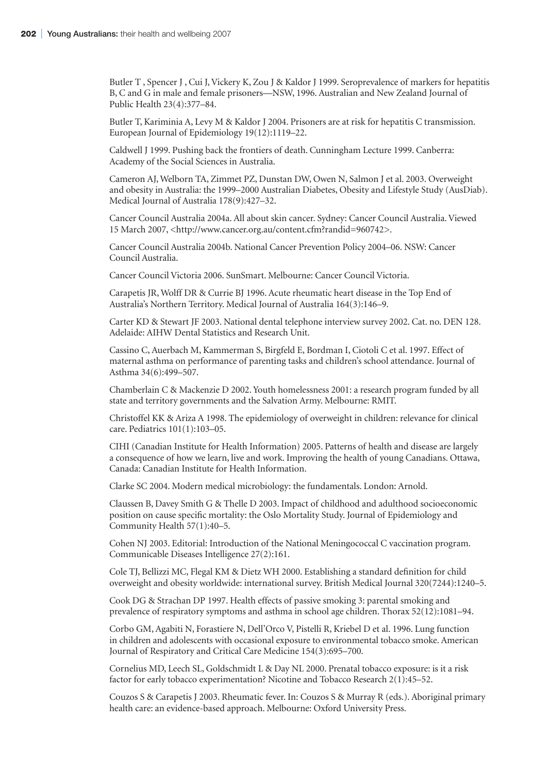Butler T , Spencer J , Cui J, Vickery K, Zou J & Kaldor J 1999. Seroprevalence of markers for hepatitis B, C and G in male and female prisoners—NSW, 1996. Australian and New Zealand Journal of Public Health 23(4):377–84.

Butler T, Kariminia A, Levy M & Kaldor J 2004. Prisoners are at risk for hepatitis C transmission. European Journal of Epidemiology 19(12):1119–22.

Caldwell J 1999. Pushing back the frontiers of death. Cunningham Lecture 1999. Canberra: Academy of the Social Sciences in Australia.

Cameron AJ, Welborn TA, Zimmet PZ, Dunstan DW, Owen N, Salmon J et al. 2003. Overweight and obesity in Australia: the 1999–2000 Australian Diabetes, Obesity and Lifestyle Study (AusDiab). Medical Journal of Australia 178(9):427–32.

Cancer Council Australia 2004a. All about skin cancer. Sydney: Cancer Council Australia. Viewed 15 March 2007, <http://www.cancer.org.au/content.cfm?randid=960742>.

Cancer Council Australia 2004b. National Cancer Prevention Policy 2004–06. NSW: Cancer Council Australia.

Cancer Council Victoria 2006. SunSmart. Melbourne: Cancer Council Victoria.

Carapetis JR, Wolff DR & Currie BJ 1996. Acute rheumatic heart disease in the Top End of Australia's Northern Territory. Medical Journal of Australia 164(3):146–9.

Carter KD & Stewart JF 2003. National dental telephone interview survey 2002. Cat. no. DEN 128. Adelaide: AIHW Dental Statistics and Research Unit.

Cassino C, Auerbach M, Kammerman S, Birgfeld E, Bordman I, Ciotoli C et al. 1997. Effect of maternal asthma on performance of parenting tasks and children's school attendance. Journal of Asthma 34(6):499–507.

Chamberlain C & Mackenzie D 2002. Youth homelessness 2001: a research program funded by all state and territory governments and the Salvation Army. Melbourne: RMIT.

Christoffel KK & Ariza A 1998. The epidemiology of overweight in children: relevance for clinical care. Pediatrics 101(1):103–05.

CIHI (Canadian Institute for Health Information) 2005. Patterns of health and disease are largely a consequence of how we learn, live and work. Improving the health of young Canadians. Ottawa, Canada: Canadian Institute for Health Information.

Clarke SC 2004. Modern medical microbiology: the fundamentals. London: Arnold.

Claussen B, Davey Smith G & Thelle D 2003. Impact of childhood and adulthood socioeconomic position on cause specific mortality: the Oslo Mortality Study. Journal of Epidemiology and Community Health 57(1):40–5.

Cohen NJ 2003. Editorial: Introduction of the National Meningococcal C vaccination program. Communicable Diseases Intelligence 27(2):161.

Cole TJ, Bellizzi MC, Flegal KM & Dietz WH 2000. Establishing a standard definition for child overweight and obesity worldwide: international survey. British Medical Journal 320(7244):1240–5.

Cook DG & Strachan DP 1997. Health effects of passive smoking 3: parental smoking and prevalence of respiratory symptoms and asthma in school age children. Thorax 52(12):1081–94.

Corbo GM, Agabiti N, Forastiere N, Dell'Orco V, Pistelli R, Kriebel D et al. 1996. Lung function in children and adolescents with occasional exposure to environmental tobacco smoke. American Journal of Respiratory and Critical Care Medicine 154(3):695–700.

Cornelius MD, Leech SL, Goldschmidt L & Day NL 2000. Prenatal tobacco exposure: is it a risk factor for early tobacco experimentation? Nicotine and Tobacco Research 2(1):45–52.

Couzos S & Carapetis J 2003. Rheumatic fever. In: Couzos S & Murray R (eds.). Aboriginal primary health care: an evidence-based approach. Melbourne: Oxford University Press.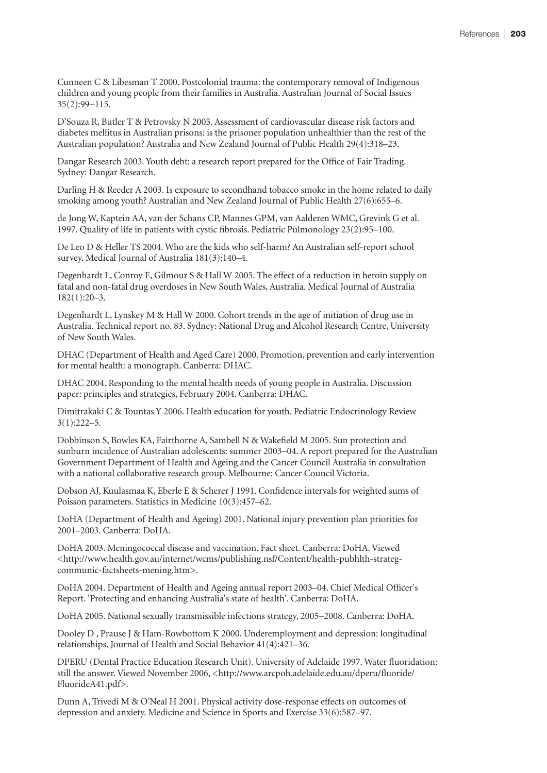Cunneen C & Libesman T 2000. Postcolonial trauma: the contemporary removal of Indigenous children and young people from their families in Australia. Australian Journal of Social Issues 35(2):99−115.

D'Souza R, Butler T & Petrovsky N 2005. Assessment of cardiovascular disease risk factors and diabetes mellitus in Australian prisons: is the prisoner population unhealthier than the rest of the Australian population? Australia and New Zealand Journal of Public Health 29(4):318–23.

Dangar Research 2003. Youth debt: a research report prepared for the Office of Fair Trading. Sydney: Dangar Research.

Darling H & Reeder A 2003. Is exposure to secondhand tobacco smoke in the home related to daily smoking among youth? Australian and New Zealand Journal of Public Health 27(6):655–6.

de Jong W, Kaptein AA, van der Schans CP, Mannes GPM, van Aalderen WMC, Grevink G et al. 1997. Quality of life in patients with cystic fibrosis. Pediatric Pulmonology 23(2):95–100.

De Leo D & Heller TS 2004. Who are the kids who self-harm? An Australian self-report school survey. Medical Journal of Australia 181(3):140–4.

Degenhardt L, Conroy E, Gilmour S & Hall W 2005. The effect of a reduction in heroin supply on fatal and non-fatal drug overdoses in New South Wales, Australia. Medical Journal of Australia 182(1):20–3.

Degenhardt L, Lynskey M & Hall W 2000. Cohort trends in the age of initiation of drug use in Australia. Technical report no. 83. Sydney: National Drug and Alcohol Research Centre, University of New South Wales.

DHAC (Department of Health and Aged Care) 2000. Promotion, prevention and early intervention for mental health: a monograph. Canberra: DHAC.

DHAC 2004. Responding to the mental health needs of young people in Australia. Discussion paper: principles and strategies, February 2004. Canberra: DHAC.

Dimitrakaki C & Tountas Y 2006. Health education for youth. Pediatric Endocrinology Review 3(1):222–5.

Dobbinson S, Bowles KA, Fairthorne A, Sambell N & Wakefield M 2005. Sun protection and sunburn incidence of Australian adolescents: summer 2003−04. A report prepared for the Australian Government Department of Health and Ageing and the Cancer Council Australia in consultation with a national collaborative research group. Melbourne: Cancer Council Victoria.

Dobson AJ, Kuulasmaa K, Eberle E & Scherer J 1991. Confidence intervals for weighted sums of Poisson parameters. Statistics in Medicine 10(3):457–62.

DoHA (Department of Health and Ageing) 2001. National injury prevention plan priorities for 2001–2003. Canberra: DoHA.

DoHA 2003. Meningococcal disease and vaccination. Fact sheet. Canberra: DoHA. Viewed <http://www.health.gov.au/internet/wcms/publishing.nsf/Content/health-pubhlth-strategcommunic-factsheets-mening.htm>.

DoHA 2004. Department of Health and Ageing annual report 2003–04. Chief Medical Officer's Report. 'Protecting and enhancing Australia's state of health'. Canberra: DoHA.

DoHA 2005. National sexually transmissible infections strategy, 2005−2008. Canberra: DoHA.

Dooley D , Prause J & Ham-Rowbottom K 2000. Underemployment and depression: longitudinal relationships. Journal of Health and Social Behavior 41(4):421–36.

DPERU (Dental Practice Education Research Unit). University of Adelaide 1997. Water fluoridation: still the answer. Viewed November 2006, <http://www.arcpoh.adelaide.edu.au/dperu/fluoride/ FluorideA41.pdf>.

Dunn A, Trivedi M & O'Neal H 2001. Physical activity dose-response effects on outcomes of depression and anxiety. Medicine and Science in Sports and Exercise 33(6):587–97.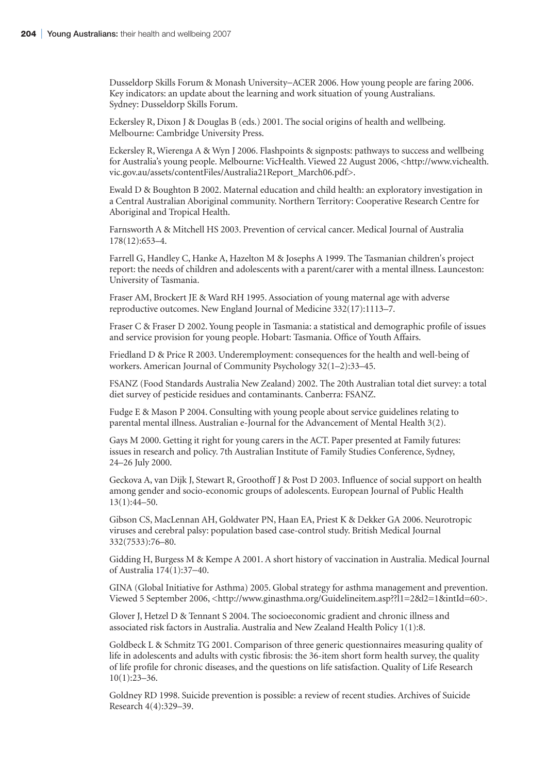Dusseldorp Skills Forum & Monash University−ACER 2006. How young people are faring 2006. Key indicators: an update about the learning and work situation of young Australians. Sydney: Dusseldorp Skills Forum.

Eckersley R, Dixon J & Douglas B (eds.) 2001. The social origins of health and wellbeing. Melbourne: Cambridge University Press.

Eckersley R, Wierenga A & Wyn J 2006. Flashpoints & signposts: pathways to success and wellbeing for Australia's young people. Melbourne: VicHealth. Viewed 22 August 2006, <http://www.vichealth. vic.gov.au/assets/contentFiles/Australia21Report\_March06.pdf>.

Ewald D & Boughton B 2002. Maternal education and child health: an exploratory investigation in a Central Australian Aboriginal community. Northern Territory: Cooperative Research Centre for Aboriginal and Tropical Health.

Farnsworth A & Mitchell HS 2003. Prevention of cervical cancer. Medical Journal of Australia 178(12):653–4.

Farrell G, Handley C, Hanke A, Hazelton M & Josephs A 1999. The Tasmanian children's project report: the needs of children and adolescents with a parent/carer with a mental illness. Launceston: University of Tasmania.

Fraser AM, Brockert JE & Ward RH 1995. Association of young maternal age with adverse reproductive outcomes. New England Journal of Medicine 332(17):1113–7.

Fraser C & Fraser D 2002. Young people in Tasmania: a statistical and demographic profile of issues and service provision for young people. Hobart: Tasmania. Office of Youth Affairs.

Friedland D & Price R 2003. Underemployment: consequences for the health and well-being of workers. American Journal of Community Psychology 32(1–2):33–45.

FSANZ (Food Standards Australia New Zealand) 2002. The 20th Australian total diet survey: a total diet survey of pesticide residues and contaminants. Canberra: FSANZ.

Fudge E & Mason P 2004. Consulting with young people about service guidelines relating to parental mental illness. Australian e-Journal for the Advancement of Mental Health 3(2).

Gays M 2000. Getting it right for young carers in the ACT. Paper presented at Family futures: issues in research and policy. 7th Australian Institute of Family Studies Conference, Sydney, 24–26 July 2000.

Geckova A, van Dijk J, Stewart R, Groothoff J & Post D 2003. Influence of social support on health among gender and socio-economic groups of adolescents. European Journal of Public Health 13(1):44–50.

Gibson CS, MacLennan AH, Goldwater PN, Haan EA, Priest K & Dekker GA 2006. Neurotropic viruses and cerebral palsy: population based case-control study. British Medical Journal 332(7533):76–80.

Gidding H, Burgess M & Kempe A 2001. A short history of vaccination in Australia. Medical Journal of Australia 174(1):37−40.

GINA (Global Initiative for Asthma) 2005. Global strategy for asthma management and prevention. Viewed 5 September 2006, <http://www.ginasthma.org/Guidelineitem.asp??l1=2&l2=1&intId=60>.

Glover J, Hetzel D & Tennant S 2004. The socioeconomic gradient and chronic illness and associated risk factors in Australia. Australia and New Zealand Health Policy 1(1):8.

Goldbeck L & Schmitz TG 2001. Comparison of three generic questionnaires measuring quality of life in adolescents and adults with cystic fibrosis: the 36-item short form health survey, the quality of life profile for chronic diseases, and the questions on life satisfaction. Quality of Life Research 10(1):23–36.

Goldney RD 1998. Suicide prevention is possible: a review of recent studies. Archives of Suicide Research 4(4):329–39.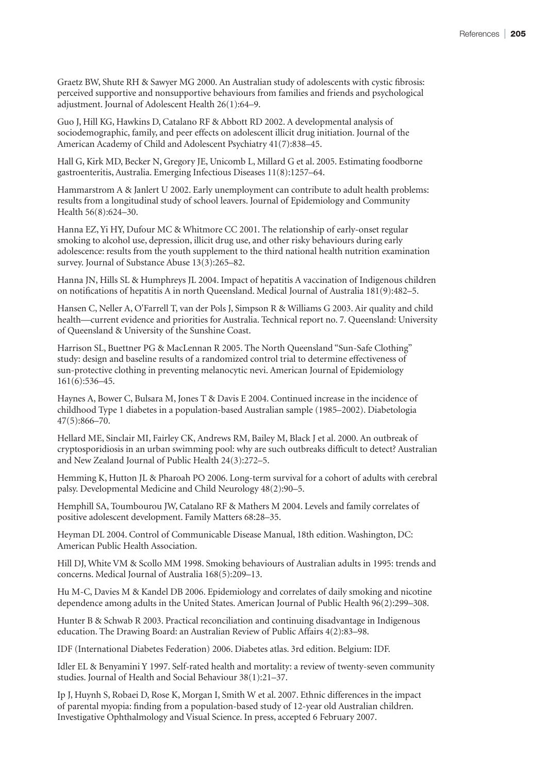Graetz BW, Shute RH & Sawyer MG 2000. An Australian study of adolescents with cystic fibrosis: perceived supportive and nonsupportive behaviours from families and friends and psychological adjustment. Journal of Adolescent Health 26(1):64–9.

Guo J, Hill KG, Hawkins D, Catalano RF & Abbott RD 2002. A developmental analysis of sociodemographic, family, and peer effects on adolescent illicit drug initiation. Journal of the American Academy of Child and Adolescent Psychiatry 41(7):838–45.

Hall G, Kirk MD, Becker N, Gregory JE, Unicomb L, Millard G et al. 2005. Estimating foodborne gastroenteritis, Australia. Emerging Infectious Diseases 11(8):1257–64.

Hammarstrom A & Janlert U 2002. Early unemployment can contribute to adult health problems: results from a longitudinal study of school leavers. Journal of Epidemiology and Community Health 56(8):624–30.

Hanna EZ, Yi HY, Dufour MC & Whitmore CC 2001. The relationship of early-onset regular smoking to alcohol use, depression, illicit drug use, and other risky behaviours during early adolescence: results from the youth supplement to the third national health nutrition examination survey. Journal of Substance Abuse 13(3):265–82.

Hanna JN, Hills SL & Humphreys JL 2004. Impact of hepatitis A vaccination of Indigenous children on notifications of hepatitis A in north Queensland. Medical Journal of Australia 181(9):482–5.

Hansen C, Neller A, O'Farrell T, van der Pols J, Simpson R & Williams G 2003. Air quality and child health—current evidence and priorities for Australia. Technical report no. 7. Queensland: University of Queensland & University of the Sunshine Coast.

Harrison SL, Buettner PG & MacLennan R 2005. The North Queensland "Sun-Safe Clothing" study: design and baseline results of a randomized control trial to determine effectiveness of sun-protective clothing in preventing melanocytic nevi. American Journal of Epidemiology 161(6):536–45.

Haynes A, Bower C, Bulsara M, Jones T & Davis E 2004. Continued increase in the incidence of childhood Type 1 diabetes in a population-based Australian sample (1985–2002). Diabetologia 47(5):866–70.

Hellard ME, Sinclair MI, Fairley CK, Andrews RM, Bailey M, Black J et al. 2000. An outbreak of cryptosporidiosis in an urban swimming pool: why are such outbreaks difficult to detect? Australian and New Zealand Journal of Public Health 24(3):272–5.

Hemming K, Hutton JL & Pharoah PO 2006. Long-term survival for a cohort of adults with cerebral palsy. Developmental Medicine and Child Neurology 48(2):90–5.

Hemphill SA, Toumbourou JW, Catalano RF & Mathers M 2004. Levels and family correlates of positive adolescent development. Family Matters 68:28–35.

Heyman DL 2004. Control of Communicable Disease Manual, 18th edition. Washington, DC: American Public Health Association.

Hill DJ, White VM & Scollo MM 1998. Smoking behaviours of Australian adults in 1995: trends and concerns. Medical Journal of Australia 168(5):209–13.

Hu M-C, Davies M & Kandel DB 2006. Epidemiology and correlates of daily smoking and nicotine dependence among adults in the United States. American Journal of Public Health 96(2):299–308.

Hunter B & Schwab R 2003. Practical reconciliation and continuing disadvantage in Indigenous education. The Drawing Board: an Australian Review of Public Affairs 4(2):83–98.

IDF (International Diabetes Federation) 2006. Diabetes atlas. 3rd edition. Belgium: IDF.

Idler EL & Benyamini Y 1997. Self-rated health and mortality: a review of twenty-seven community studies. Journal of Health and Social Behaviour 38(1):21–37.

Ip J, Huynh S, Robaei D, Rose K, Morgan I, Smith W et al. 2007. Ethnic differences in the impact of parental myopia: finding from a population-based study of 12-year old Australian children. Investigative Ophthalmology and Visual Science. In press, accepted 6 February 2007.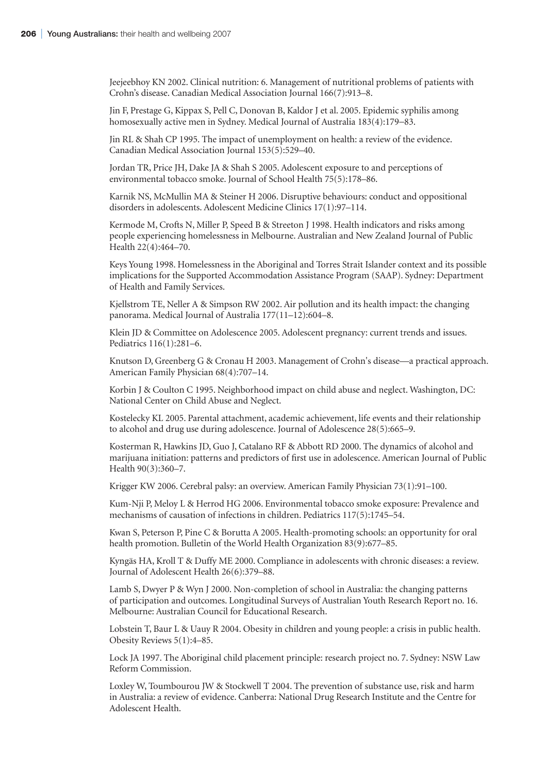Jeejeebhoy KN 2002. Clinical nutrition: 6. Management of nutritional problems of patients with Crohn's disease. Canadian Medical Association Journal 166(7):913–8.

Jin F, Prestage G, Kippax S, Pell C, Donovan B, Kaldor J et al. 2005. Epidemic syphilis among homosexually active men in Sydney. Medical Journal of Australia 183(4):179−83.

Jin RL & Shah CP 1995. The impact of unemployment on health: a review of the evidence. Canadian Medical Association Journal 153(5):529–40.

Jordan TR, Price JH, Dake JA & Shah S 2005. Adolescent exposure to and perceptions of environmental tobacco smoke. Journal of School Health 75(5):178–86.

Karnik NS, McMullin MA & Steiner H 2006. Disruptive behaviours: conduct and oppositional disorders in adolescents. Adolescent Medicine Clinics 17(1):97–114.

Kermode M, Crofts N, Miller P, Speed B & Streeton J 1998. Health indicators and risks among people experiencing homelessness in Melbourne. Australian and New Zealand Journal of Public Health 22(4):464–70.

Keys Young 1998. Homelessness in the Aboriginal and Torres Strait Islander context and its possible implications for the Supported Accommodation Assistance Program (SAAP). Sydney: Department of Health and Family Services.

Kjellstrom TE, Neller A & Simpson RW 2002. Air pollution and its health impact: the changing panorama. Medical Journal of Australia 177(11–12):604–8.

Klein JD & Committee on Adolescence 2005. Adolescent pregnancy: current trends and issues. Pediatrics 116(1):281–6.

Knutson D, Greenberg G & Cronau H 2003. Management of Crohn's disease—a practical approach. American Family Physician 68(4):707–14.

Korbin J & Coulton C 1995. Neighborhood impact on child abuse and neglect. Washington, DC: National Center on Child Abuse and Neglect.

Kostelecky KL 2005. Parental attachment, academic achievement, life events and their relationship to alcohol and drug use during adolescence. Journal of Adolescence 28(5):665–9.

Kosterman R, Hawkins JD, Guo J, Catalano RF & Abbott RD 2000. The dynamics of alcohol and marijuana initiation: patterns and predictors of first use in adolescence. American Journal of Public Health 90(3):360–7.

Krigger KW 2006. Cerebral palsy: an overview. American Family Physician 73(1):91–100.

Kum-Nji P, Meloy L & Herrod HG 2006. Environmental tobacco smoke exposure: Prevalence and mechanisms of causation of infections in children. Pediatrics 117(5):1745–54.

Kwan S, Peterson P, Pine C & Borutta A 2005. Health-promoting schools: an opportunity for oral health promotion. Bulletin of the World Health Organization 83(9):677–85.

Kyngäs HA, Kroll T & Duffy ME 2000. Compliance in adolescents with chronic diseases: a review. Journal of Adolescent Health 26(6):379–88.

Lamb S, Dwyer P & Wyn J 2000. Non-completion of school in Australia: the changing patterns of participation and outcomes. Longitudinal Surveys of Australian Youth Research Report no. 16. Melbourne: Australian Council for Educational Research.

Lobstein T, Baur L & Uauy R 2004. Obesity in children and young people: a crisis in public health. Obesity Reviews 5(1):4–85.

Lock JA 1997. The Aboriginal child placement principle: research project no. 7. Sydney: NSW Law Reform Commission.

Loxley W, Toumbourou JW & Stockwell T 2004. The prevention of substance use, risk and harm in Australia: a review of evidence. Canberra: National Drug Research Institute and the Centre for Adolescent Health.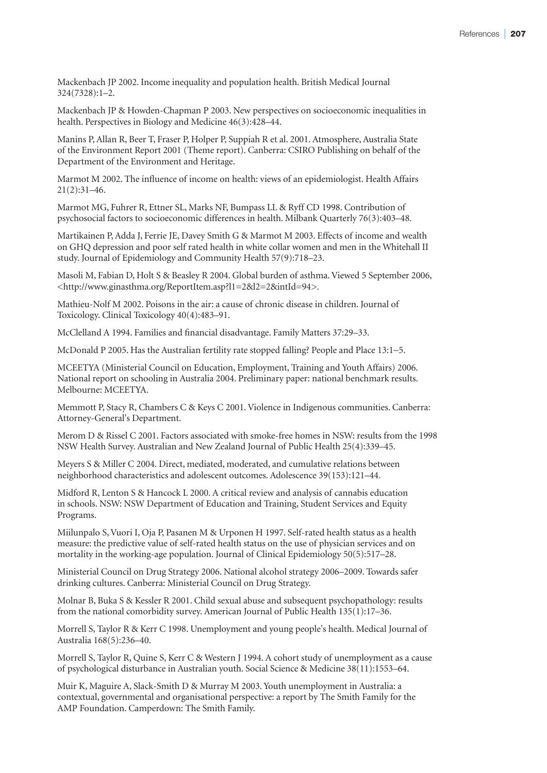Mackenbach JP 2002. Income inequality and population health. British Medical Journal 324(7328):1–2.

Mackenbach JP & Howden-Chapman P 2003. New perspectives on socioeconomic inequalities in health. Perspectives in Biology and Medicine 46(3):428–44.

Manins P, Allan R, Beer T, Fraser P, Holper P, Suppiah R et al. 2001. Atmosphere, Australia State of the Environment Report 2001 (Theme report). Canberra: CSIRO Publishing on behalf of the Department of the Environment and Heritage.

Marmot M 2002. The influence of income on health: views of an epidemiologist. Health Affairs 21(2):31–46.

Marmot MG, Fuhrer R, Ettner SL, Marks NF, Bumpass LL & Ryff CD 1998. Contribution of psychosocial factors to socioeconomic differences in health. Milbank Quarterly 76(3):403–48.

Martikainen P, Adda J, Ferrie JE, Davey Smith G & Marmot M 2003. Effects of income and wealth on GHQ depression and poor self rated health in white collar women and men in the Whitehall II study. Journal of Epidemiology and Community Health 57(9):718–23.

Masoli M, Fabian D, Holt S & Beasley R 2004. Global burden of asthma. Viewed 5 September 2006, <http://www.ginasthma.org/ReportItem.asp?l1=2&l2=2&intId=94>.

Mathieu-Nolf M 2002. Poisons in the air: a cause of chronic disease in children. Journal of Toxicology. Clinical Toxicology 40(4):483–91.

McClelland A 1994. Families and financial disadvantage. Family Matters 37:29–33.

McDonald P 2005. Has the Australian fertility rate stopped falling? People and Place 13:1−5.

MCEETYA (Ministerial Council on Education, Employment, Training and Youth Affairs) 2006. National report on schooling in Australia 2004. Preliminary paper: national benchmark results. Melbourne: MCEETYA.

Memmott P, Stacy R, Chambers C & Keys C 2001. Violence in Indigenous communities. Canberra: Attorney-General's Department.

Merom D & Rissel C 2001. Factors associated with smoke-free homes in NSW: results from the 1998 NSW Health Survey. Australian and New Zealand Journal of Public Health 25(4):339–45.

Meyers S & Miller C 2004. Direct, mediated, moderated, and cumulative relations between neighborhood characteristics and adolescent outcomes. Adolescence 39(153):121–44.

Midford R, Lenton S & Hancock L 2000. A critical review and analysis of cannabis education in schools. NSW: NSW Department of Education and Training, Student Services and Equity Programs.

Miilunpalo S, Vuori I, Oja P, Pasanen M & Urponen H 1997. Self-rated health status as a health measure: the predictive value of self-rated health status on the use of physician services and on mortality in the working-age population. Journal of Clinical Epidemiology 50(5):517–28.

Ministerial Council on Drug Strategy 2006. National alcohol strategy 2006–2009. Towards safer drinking cultures. Canberra: Ministerial Council on Drug Strategy.

Molnar B, Buka S & Kessler R 2001. Child sexual abuse and subsequent psychopathology: results from the national comorbidity survey. American Journal of Public Health 135(1):17–36.

Morrell S, Taylor R & Kerr C 1998. Unemployment and young people's health. Medical Journal of Australia 168(5):236–40.

Morrell S, Taylor R, Quine S, Kerr C & Western J 1994. A cohort study of unemployment as a cause of psychological disturbance in Australian youth. Social Science & Medicine 38(11):1553–64.

Muir K, Maguire A, Slack-Smith D & Murray M 2003. Youth unemployment in Australia: a contextual, governmental and organisational perspective: a report by The Smith Family for the AMP Foundation. Camperdown: The Smith Family.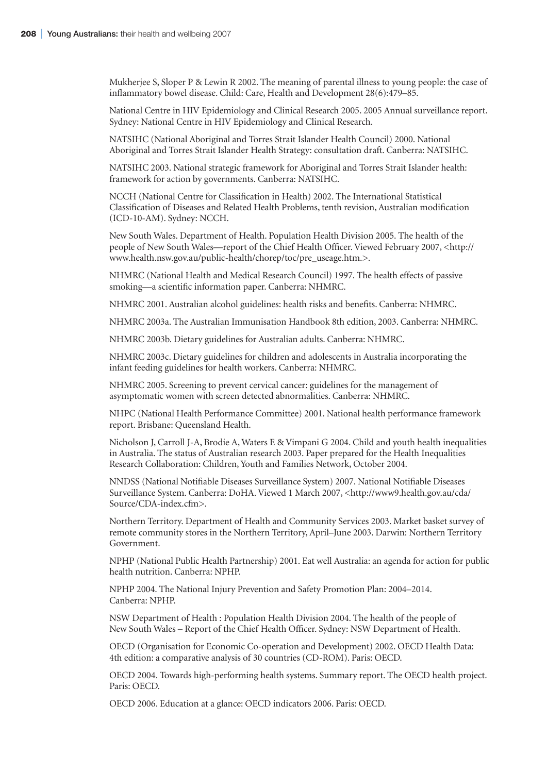Mukherjee S, Sloper P & Lewin R 2002. The meaning of parental illness to young people: the case of inflammatory bowel disease. Child: Care, Health and Development 28(6):479–85.

National Centre in HIV Epidemiology and Clinical Research 2005. 2005 Annual surveillance report. Sydney: National Centre in HIV Epidemiology and Clinical Research.

NATSIHC (National Aboriginal and Torres Strait Islander Health Council) 2000. National Aboriginal and Torres Strait Islander Health Strategy: consultation draft. Canberra: NATSIHC.

NATSIHC 2003. National strategic framework for Aboriginal and Torres Strait Islander health: framework for action by governments. Canberra: NATSIHC.

NCCH (National Centre for Classification in Health) 2002. The International Statistical Classification of Diseases and Related Health Problems, tenth revision, Australian modification (ICD-10-AM). Sydney: NCCH.

New South Wales. Department of Health. Population Health Division 2005. The health of the people of New South Wales—report of the Chief Health Officer. Viewed February 2007, <http:// www.health.nsw.gov.au/public-health/chorep/toc/pre\_useage.htm.>.

NHMRC (National Health and Medical Research Council) 1997. The health effects of passive smoking—a scientific information paper. Canberra: NHMRC.

NHMRC 2001. Australian alcohol guidelines: health risks and benefits. Canberra: NHMRC.

NHMRC 2003a. The Australian Immunisation Handbook 8th edition, 2003. Canberra: NHMRC.

NHMRC 2003b. Dietary guidelines for Australian adults. Canberra: NHMRC.

NHMRC 2003c. Dietary guidelines for children and adolescents in Australia incorporating the infant feeding guidelines for health workers. Canberra: NHMRC.

NHMRC 2005. Screening to prevent cervical cancer: guidelines for the management of asymptomatic women with screen detected abnormalities. Canberra: NHMRC.

NHPC (National Health Performance Committee) 2001. National health performance framework report. Brisbane: Queensland Health.

Nicholson J, Carroll J-A, Brodie A, Waters E & Vimpani G 2004. Child and youth health inequalities in Australia. The status of Australian research 2003. Paper prepared for the Health Inequalities Research Collaboration: Children, Youth and Families Network, October 2004.

NNDSS (National Notifiable Diseases Surveillance System) 2007. National Notifiable Diseases Surveillance System. Canberra: DoHA. Viewed 1 March 2007, <http://www9.health.gov.au/cda/ Source/CDA-index.cfm>.

Northern Territory. Department of Health and Community Services 2003. Market basket survey of remote community stores in the Northern Territory, April–June 2003. Darwin: Northern Territory Government.

NPHP (National Public Health Partnership) 2001. Eat well Australia: an agenda for action for public health nutrition. Canberra: NPHP.

NPHP 2004. The National Injury Prevention and Safety Promotion Plan: 2004–2014. Canberra: NPHP.

NSW Department of Health : Population Health Division 2004. The health of the people of New South Wales – Report of the Chief Health Officer. Sydney: NSW Department of Health.

OECD (Organisation for Economic Co-operation and Development) 2002. OECD Health Data: 4th edition: a comparative analysis of 30 countries (CD-ROM). Paris: OECD.

OECD 2004. Towards high-performing health systems. Summary report. The OECD health project. Paris: OECD.

OECD 2006. Education at a glance: OECD indicators 2006. Paris: OECD.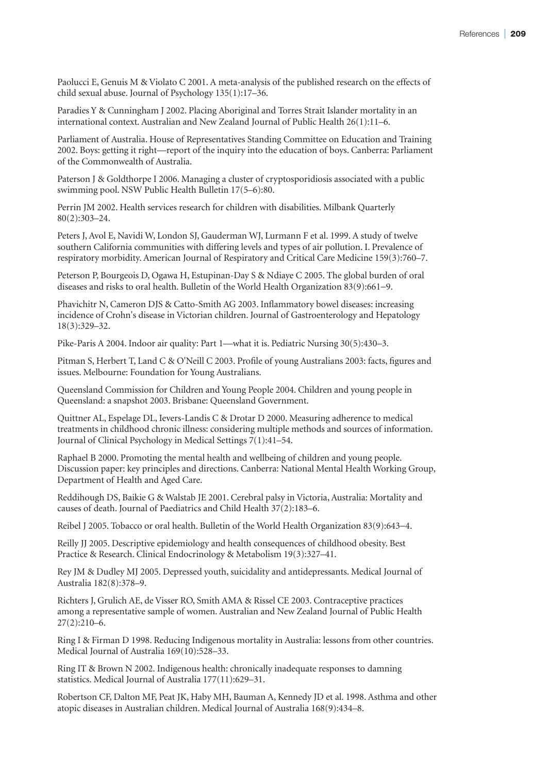Paolucci E, Genuis M & Violato C 2001. A meta-analysis of the published research on the effects of child sexual abuse. Journal of Psychology 135(1):17–36.

Paradies Y & Cunningham J 2002. Placing Aboriginal and Torres Strait Islander mortality in an international context. Australian and New Zealand Journal of Public Health 26(1):11–6.

Parliament of Australia. House of Representatives Standing Committee on Education and Training 2002. Boys: getting it right—report of the inquiry into the education of boys. Canberra: Parliament of the Commonwealth of Australia.

Paterson J & Goldthorpe I 2006. Managing a cluster of cryptosporidiosis associated with a public swimming pool. NSW Public Health Bulletin 17(5–6):80.

Perrin JM 2002. Health services research for children with disabilities. Milbank Quarterly 80(2):303–24.

Peters J, Avol E, Navidi W, London SJ, Gauderman WJ, Lurmann F et al. 1999. A study of twelve southern California communities with differing levels and types of air pollution. I. Prevalence of respiratory morbidity. American Journal of Respiratory and Critical Care Medicine 159(3):760–7.

Peterson P, Bourgeois D, Ogawa H, Estupinan-Day S & Ndiaye C 2005. The global burden of oral diseases and risks to oral health. Bulletin of the World Health Organization 83(9):661−9.

Phavichitr N, Cameron DJS & Catto-Smith AG 2003. Inflammatory bowel diseases: increasing incidence of Crohn's disease in Victorian children. Journal of Gastroenterology and Hepatology 18(3):329–32.

Pike-Paris A 2004. Indoor air quality: Part 1—what it is. Pediatric Nursing 30(5):430–3.

Pitman S, Herbert T, Land C & O'Neill C 2003. Profile of young Australians 2003: facts, figures and issues. Melbourne: Foundation for Young Australians.

Queensland Commission for Children and Young People 2004. Children and young people in Queensland: a snapshot 2003. Brisbane: Queensland Government.

Quittner AL, Espelage DL, Ievers-Landis C & Drotar D 2000. Measuring adherence to medical treatments in childhood chronic illness: considering multiple methods and sources of information. Journal of Clinical Psychology in Medical Settings 7(1):41–54.

Raphael B 2000. Promoting the mental health and wellbeing of children and young people. Discussion paper: key principles and directions. Canberra: National Mental Health Working Group, Department of Health and Aged Care.

Reddihough DS, Baikie G & Walstab JE 2001. Cerebral palsy in Victoria, Australia: Mortality and causes of death. Journal of Paediatrics and Child Health 37(2):183–6.

Reibel J 2005. Tobacco or oral health. Bulletin of the World Health Organization 83(9):643−4.

Reilly JJ 2005. Descriptive epidemiology and health consequences of childhood obesity. Best Practice & Research. Clinical Endocrinology & Metabolism 19(3):327–41.

Rey JM & Dudley MJ 2005. Depressed youth, suicidality and antidepressants. Medical Journal of Australia 182(8):378–9.

Richters J, Grulich AE, de Visser RO, Smith AMA & Rissel CE 2003. Contraceptive practices among a representative sample of women. Australian and New Zealand Journal of Public Health 27(2):210–6.

Ring I & Firman D 1998. Reducing Indigenous mortality in Australia: lessons from other countries. Medical Journal of Australia 169(10):528–33.

Ring IT & Brown N 2002. Indigenous health: chronically inadequate responses to damning statistics. Medical Journal of Australia 177(11):629–31.

Robertson CF, Dalton MF, Peat JK, Haby MH, Bauman A, Kennedy JD et al. 1998. Asthma and other atopic diseases in Australian children. Medical Journal of Australia 168(9):434–8.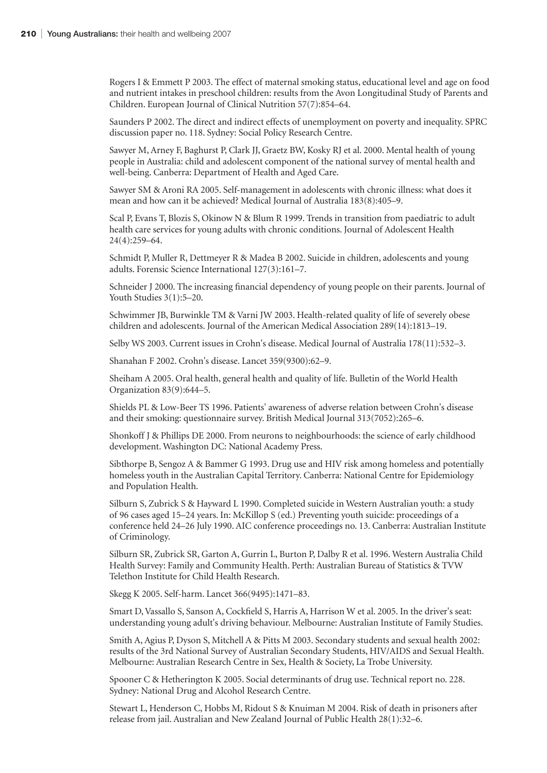Rogers I & Emmett P 2003. The effect of maternal smoking status, educational level and age on food and nutrient intakes in preschool children: results from the Avon Longitudinal Study of Parents and Children. European Journal of Clinical Nutrition 57(7):854–64.

Saunders P 2002. The direct and indirect effects of unemployment on poverty and inequality. SPRC discussion paper no. 118. Sydney: Social Policy Research Centre.

Sawyer M, Arney F, Baghurst P, Clark JJ, Graetz BW, Kosky RJ et al. 2000. Mental health of young people in Australia: child and adolescent component of the national survey of mental health and well-being. Canberra: Department of Health and Aged Care.

Sawyer SM & Aroni RA 2005. Self-management in adolescents with chronic illness: what does it mean and how can it be achieved? Medical Journal of Australia 183(8):405–9.

Scal P, Evans T, Blozis S, Okinow N & Blum R 1999. Trends in transition from paediatric to adult health care services for young adults with chronic conditions. Journal of Adolescent Health 24(4):259–64.

Schmidt P, Muller R, Dettmeyer R & Madea B 2002. Suicide in children, adolescents and young adults. Forensic Science International 127(3):161–7.

Schneider J 2000. The increasing financial dependency of young people on their parents. Journal of Youth Studies 3(1):5–20.

Schwimmer JB, Burwinkle TM & Varni JW 2003. Health-related quality of life of severely obese children and adolescents. Journal of the American Medical Association 289(14):1813–19.

Selby WS 2003. Current issues in Crohn's disease. Medical Journal of Australia 178(11):532–3.

Shanahan F 2002. Crohn's disease. Lancet 359(9300):62–9.

Sheiham A 2005. Oral health, general health and quality of life. Bulletin of the World Health Organization 83(9):644–5.

Shields PL & Low-Beer TS 1996. Patients' awareness of adverse relation between Crohn's disease and their smoking: questionnaire survey. British Medical Journal 313(7052):265–6.

Shonkoff J & Phillips DE 2000. From neurons to neighbourhoods: the science of early childhood development. Washington DC: National Academy Press.

Sibthorpe B, Sengoz A & Bammer G 1993. Drug use and HIV risk among homeless and potentially homeless youth in the Australian Capital Territory. Canberra: National Centre for Epidemiology and Population Health.

Silburn S, Zubrick S & Hayward L 1990. Completed suicide in Western Australian youth: a study of 96 cases aged 15–24 years. In: McKillop S (ed.) Preventing youth suicide: proceedings of a conference held 24–26 July 1990. AIC conference proceedings no. 13. Canberra: Australian Institute of Criminology.

Silburn SR, Zubrick SR, Garton A, Gurrin L, Burton P, Dalby R et al. 1996. Western Australia Child Health Survey: Family and Community Health. Perth: Australian Bureau of Statistics & TVW Telethon Institute for Child Health Research.

Skegg K 2005. Self-harm. Lancet 366(9495):1471–83.

Smart D, Vassallo S, Sanson A, Cockfield S, Harris A, Harrison W et al. 2005. In the driver's seat: understanding young adult's driving behaviour. Melbourne: Australian Institute of Family Studies.

Smith A, Agius P, Dyson S, Mitchell A & Pitts M 2003. Secondary students and sexual health 2002: results of the 3rd National Survey of Australian Secondary Students, HIV/AIDS and Sexual Health. Melbourne: Australian Research Centre in Sex, Health & Society, La Trobe University.

Spooner C & Hetherington K 2005. Social determinants of drug use. Technical report no. 228. Sydney: National Drug and Alcohol Research Centre.

Stewart L, Henderson C, Hobbs M, Ridout S & Knuiman M 2004. Risk of death in prisoners after release from jail. Australian and New Zealand Journal of Public Health 28(1):32–6.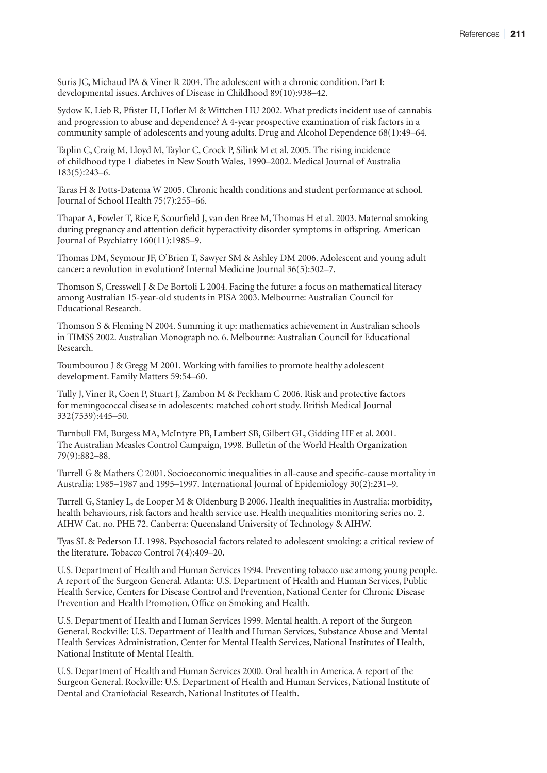Suris JC, Michaud PA & Viner R 2004. The adolescent with a chronic condition. Part I: developmental issues. Archives of Disease in Childhood 89(10):938–42.

Sydow K, Lieb R, Pfister H, Hofler M & Wittchen HU 2002. What predicts incident use of cannabis and progression to abuse and dependence? A 4-year prospective examination of risk factors in a community sample of adolescents and young adults. Drug and Alcohol Dependence 68(1):49–64.

Taplin C, Craig M, Lloyd M, Taylor C, Crock P, Silink M et al. 2005. The rising incidence of childhood type 1 diabetes in New South Wales, 1990–2002. Medical Journal of Australia 183(5):243–6.

Taras H & Potts-Datema W 2005. Chronic health conditions and student performance at school. Journal of School Health 75(7):255–66.

Thapar A, Fowler T, Rice F, Scourfield J, van den Bree M, Thomas H et al. 2003. Maternal smoking during pregnancy and attention deficit hyperactivity disorder symptoms in offspring. American Journal of Psychiatry 160(11):1985–9.

Thomas DM, Seymour JF, O'Brien T, Sawyer SM & Ashley DM 2006. Adolescent and young adult cancer: a revolution in evolution? Internal Medicine Journal 36(5):302–7.

Thomson S, Cresswell J & De Bortoli L 2004. Facing the future: a focus on mathematical literacy among Australian 15-year-old students in PISA 2003. Melbourne: Australian Council for Educational Research.

Thomson S & Fleming N 2004. Summing it up: mathematics achievement in Australian schools in TIMSS 2002. Australian Monograph no. 6. Melbourne: Australian Council for Educational Research.

Toumbourou J & Gregg M 2001. Working with families to promote healthy adolescent development. Family Matters 59:54–60.

Tully J, Viner R, Coen P, Stuart J, Zambon M & Peckham C 2006. Risk and protective factors for meningococcal disease in adolescents: matched cohort study. British Medical Journal 332(7539):445−50.

Turnbull FM, Burgess MA, McIntyre PB, Lambert SB, Gilbert GL, Gidding HF et al. 2001. The Australian Measles Control Campaign, 1998. Bulletin of the World Health Organization 79(9):882–88.

Turrell G & Mathers C 2001. Socioeconomic inequalities in all-cause and specific-cause mortality in Australia: 1985–1987 and 1995–1997. International Journal of Epidemiology 30(2):231–9.

Turrell G, Stanley L, de Looper M & Oldenburg B 2006. Health inequalities in Australia: morbidity, health behaviours, risk factors and health service use. Health inequalities monitoring series no. 2. AIHW Cat. no. PHE 72. Canberra: Queensland University of Technology & AIHW.

Tyas SL & Pederson LL 1998. Psychosocial factors related to adolescent smoking: a critical review of the literature. Tobacco Control 7(4):409–20.

U.S. Department of Health and Human Services 1994. Preventing tobacco use among young people. A report of the Surgeon General. Atlanta: U.S. Department of Health and Human Services, Public Health Service, Centers for Disease Control and Prevention, National Center for Chronic Disease Prevention and Health Promotion, Office on Smoking and Health.

U.S. Department of Health and Human Services 1999. Mental health. A report of the Surgeon General. Rockville: U.S. Department of Health and Human Services, Substance Abuse and Mental Health Services Administration, Center for Mental Health Services, National Institutes of Health, National Institute of Mental Health.

U.S. Department of Health and Human Services 2000. Oral health in America. A report of the Surgeon General. Rockville: U.S. Department of Health and Human Services, National Institute of Dental and Craniofacial Research, National Institutes of Health.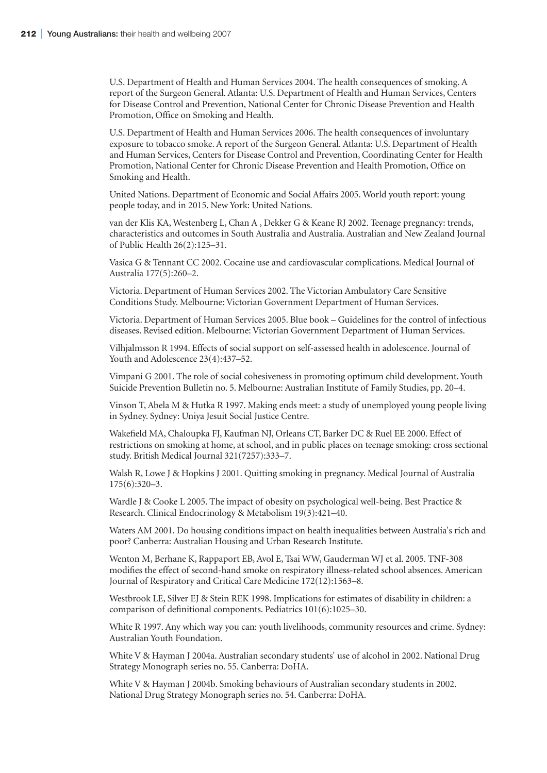U.S. Department of Health and Human Services 2004. The health consequences of smoking. A report of the Surgeon General. Atlanta: U.S. Department of Health and Human Services, Centers for Disease Control and Prevention, National Center for Chronic Disease Prevention and Health Promotion, Office on Smoking and Health.

U.S. Department of Health and Human Services 2006. The health consequences of involuntary exposure to tobacco smoke. A report of the Surgeon General. Atlanta: U.S. Department of Health and Human Services, Centers for Disease Control and Prevention, Coordinating Center for Health Promotion, National Center for Chronic Disease Prevention and Health Promotion, Office on Smoking and Health.

United Nations. Department of Economic and Social Affairs 2005. World youth report: young people today, and in 2015. New York: United Nations.

van der Klis KA, Westenberg L, Chan A , Dekker G & Keane RJ 2002. Teenage pregnancy: trends, characteristics and outcomes in South Australia and Australia. Australian and New Zealand Journal of Public Health 26(2):125–31.

Vasica G & Tennant CC 2002. Cocaine use and cardiovascular complications. Medical Journal of Australia 177(5):260–2.

Victoria. Department of Human Services 2002. The Victorian Ambulatory Care Sensitive Conditions Study. Melbourne: Victorian Government Department of Human Services.

Victoria. Department of Human Services 2005. Blue book – Guidelines for the control of infectious diseases. Revised edition. Melbourne: Victorian Government Department of Human Services.

Vilhjalmsson R 1994. Effects of social support on self-assessed health in adolescence. Journal of Youth and Adolescence 23(4):437–52.

Vimpani G 2001. The role of social cohesiveness in promoting optimum child development. Youth Suicide Prevention Bulletin no. 5. Melbourne: Australian Institute of Family Studies, pp. 20–4.

Vinson T, Abela M & Hutka R 1997. Making ends meet: a study of unemployed young people living in Sydney. Sydney: Uniya Jesuit Social Justice Centre.

Wakefield MA, Chaloupka FJ, Kaufman NJ, Orleans CT, Barker DC & Ruel EE 2000. Effect of restrictions on smoking at home, at school, and in public places on teenage smoking: cross sectional study. British Medical Journal 321(7257):333–7.

Walsh R, Lowe J & Hopkins J 2001. Quitting smoking in pregnancy. Medical Journal of Australia 175(6):320–3.

Wardle J & Cooke L 2005. The impact of obesity on psychological well-being. Best Practice & Research. Clinical Endocrinology & Metabolism 19(3):421–40.

Waters AM 2001. Do housing conditions impact on health inequalities between Australia's rich and poor? Canberra: Australian Housing and Urban Research Institute.

Wenton M, Berhane K, Rappaport EB, Avol E, Tsai WW, Gauderman WJ et al. 2005. TNF-308 modifies the effect of second-hand smoke on respiratory illness-related school absences. American Journal of Respiratory and Critical Care Medicine 172(12):1563–8.

Westbrook LE, Silver EJ & Stein REK 1998. Implications for estimates of disability in children: a comparison of definitional components. Pediatrics 101(6):1025–30.

White R 1997. Any which way you can: youth livelihoods, community resources and crime. Sydney: Australian Youth Foundation.

White V & Hayman J 2004a. Australian secondary students' use of alcohol in 2002. National Drug Strategy Monograph series no. 55. Canberra: DoHA.

White V & Hayman J 2004b. Smoking behaviours of Australian secondary students in 2002. National Drug Strategy Monograph series no. 54. Canberra: DoHA.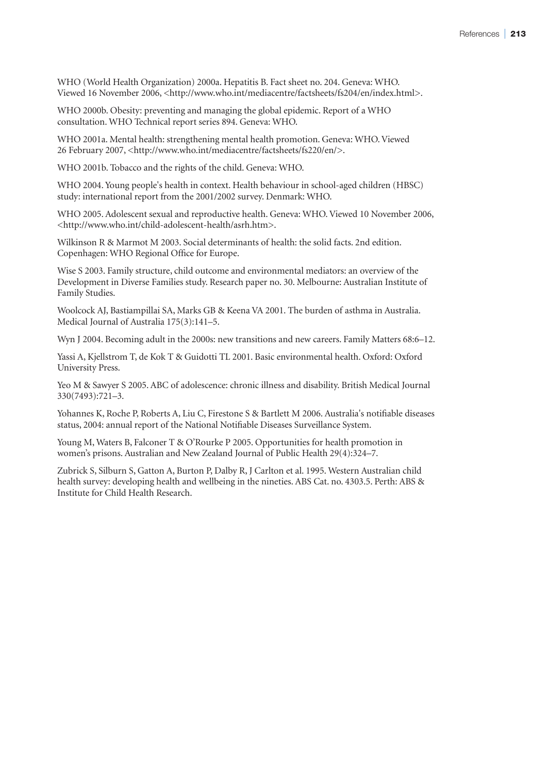WHO (World Health Organization) 2000a. Hepatitis B. Fact sheet no. 204. Geneva: WHO. Viewed 16 November 2006, <http://www.who.int/mediacentre/factsheets/fs204/en/index.html>.

WHO 2000b. Obesity: preventing and managing the global epidemic. Report of a WHO consultation. WHO Technical report series 894. Geneva: WHO.

WHO 2001a. Mental health: strengthening mental health promotion. Geneva: WHO. Viewed 26 February 2007, <http://www.who.int/mediacentre/factsheets/fs220/en/>.

WHO 2001b. Tobacco and the rights of the child. Geneva: WHO.

WHO 2004. Young people's health in context. Health behaviour in school-aged children (HBSC) study: international report from the 2001/2002 survey. Denmark: WHO.

WHO 2005. Adolescent sexual and reproductive health. Geneva: WHO. Viewed 10 November 2006, <http://www.who.int/child-adolescent-health/asrh.htm>.

Wilkinson R & Marmot M 2003. Social determinants of health: the solid facts. 2nd edition. Copenhagen: WHO Regional Office for Europe.

Wise S 2003. Family structure, child outcome and environmental mediators: an overview of the Development in Diverse Families study. Research paper no. 30. Melbourne: Australian Institute of Family Studies.

Woolcock AJ, Bastiampillai SA, Marks GB & Keena VA 2001. The burden of asthma in Australia. Medical Journal of Australia 175(3):141–5.

Wyn J 2004. Becoming adult in the 2000s: new transitions and new careers. Family Matters 68:6–12.

Yassi A, Kjellstrom T, de Kok T & Guidotti TL 2001. Basic environmental health. Oxford: Oxford University Press.

Yeo M & Sawyer S 2005. ABC of adolescence: chronic illness and disability. British Medical Journal 330(7493):721–3.

Yohannes K, Roche P, Roberts A, Liu C, Firestone S & Bartlett M 2006. Australia's notifiable diseases status, 2004: annual report of the National Notifiable Diseases Surveillance System.

Young M, Waters B, Falconer T & O'Rourke P 2005. Opportunities for health promotion in women's prisons. Australian and New Zealand Journal of Public Health 29(4):324–7.

Zubrick S, Silburn S, Gatton A, Burton P, Dalby R, J Carlton et al. 1995. Western Australian child health survey: developing health and wellbeing in the nineties. ABS Cat. no. 4303.5. Perth: ABS & Institute for Child Health Research.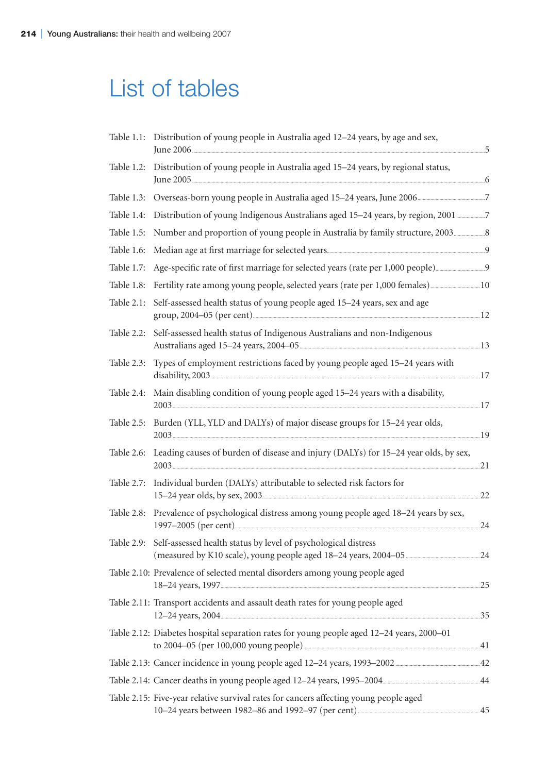## List of tables

|            | Table 1.1: Distribution of young people in Australia aged 12–24 years, by age and sex,     | .5  |
|------------|--------------------------------------------------------------------------------------------|-----|
|            | Table 1.2: Distribution of young people in Australia aged 15-24 years, by regional status, |     |
|            |                                                                                            |     |
| Table 1.4: |                                                                                            |     |
| Table 1.5: | Number and proportion of young people in Australia by family structure, 2003               |     |
| Table 1.6: |                                                                                            |     |
| Table 1.7: |                                                                                            |     |
| Table 1.8: |                                                                                            |     |
| Table 2.1: | Self-assessed health status of young people aged 15-24 years, sex and age                  |     |
| Table 2.2: | Self-assessed health status of Indigenous Australians and non-Indigenous                   |     |
| Table 2.3: | Types of employment restrictions faced by young people aged 15–24 years with               |     |
| Table 2.4: | Main disabling condition of young people aged 15-24 years with a disability,               |     |
| Table 2.5: | Burden (YLL, YLD and DALYs) of major disease groups for 15-24 year olds,                   |     |
| Table 2.6: | Leading causes of burden of disease and injury (DALYs) for 15-24 year olds, by sex,        |     |
| Table 2.7: | Individual burden (DALYs) attributable to selected risk factors for                        | .22 |
| Table 2.8: | Prevalence of psychological distress among young people aged 18-24 years by sex,           | .24 |
|            | Table 2.9: Self-assessed health status by level of psychological distress                  |     |
|            | Table 2.10: Prevalence of selected mental disorders among young people aged                |     |
|            | Table 2.11: Transport accidents and assault death rates for young people aged              |     |
|            | Table 2.12: Diabetes hospital separation rates for young people aged 12-24 years, 2000-01  |     |
|            |                                                                                            |     |
|            |                                                                                            |     |
|            | Table 2.15: Five-year relative survival rates for cancers affecting young people aged      |     |
|            |                                                                                            |     |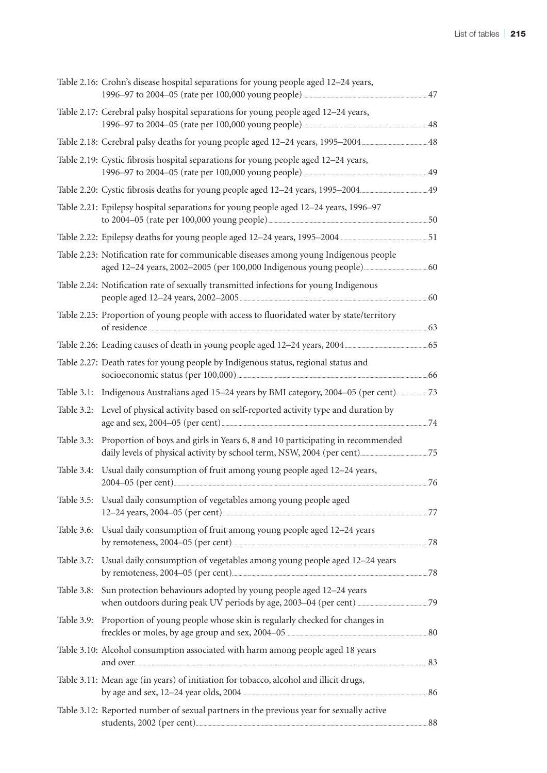|            | Table 2.16: Crohn's disease hospital separations for young people aged 12-24 years,                           |  |
|------------|---------------------------------------------------------------------------------------------------------------|--|
|            | Table 2.17: Cerebral palsy hospital separations for young people aged 12-24 years,                            |  |
|            |                                                                                                               |  |
|            | Table 2.19: Cystic fibrosis hospital separations for young people aged 12-24 years,                           |  |
|            |                                                                                                               |  |
|            | Table 2.21: Epilepsy hospital separations for young people aged 12-24 years, 1996-97                          |  |
|            |                                                                                                               |  |
|            | Table 2.23: Notification rate for communicable diseases among young Indigenous people                         |  |
|            | Table 2.24: Notification rate of sexually transmitted infections for young Indigenous                         |  |
|            | Table 2.25: Proportion of young people with access to fluoridated water by state/territory<br>of residence 63 |  |
|            | Table 2.26: Leading causes of death in young people aged 12–24 years, 2004                                    |  |
|            | Table 2.27: Death rates for young people by Indigenous status, regional status and                            |  |
|            |                                                                                                               |  |
| Table 3.2: | Level of physical activity based on self-reported activity type and duration by                               |  |
|            | Table 3.3: Proportion of boys and girls in Years 6, 8 and 10 participating in recommended                     |  |
| Table 3.4: | Usual daily consumption of fruit among young people aged 12-24 years,                                         |  |
|            | Table 3.5: Usual daily consumption of vegetables among young people aged                                      |  |
|            | Table 3.6: Usual daily consumption of fruit among young people aged 12–24 years                               |  |
|            | Table 3.7: Usual daily consumption of vegetables among young people aged 12-24 years                          |  |
| Table 3.8: | Sun protection behaviours adopted by young people aged 12-24 years                                            |  |
| Table 3.9: | Proportion of young people whose skin is regularly checked for changes in                                     |  |
|            | Table 3.10: Alcohol consumption associated with harm among people aged 18 years                               |  |
|            | Table 3.11: Mean age (in years) of initiation for tobacco, alcohol and illicit drugs,                         |  |
|            | Table 3.12: Reported number of sexual partners in the previous year for sexually active                       |  |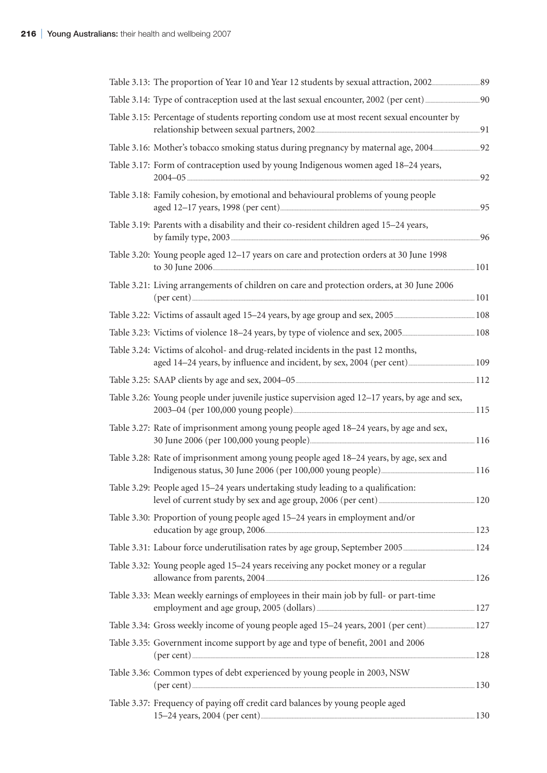| Table 3.15: Percentage of students reporting condom use at most recent sexual encounter by          |     |
|-----------------------------------------------------------------------------------------------------|-----|
|                                                                                                     |     |
| Table 3.17: Form of contraception used by young Indigenous women aged 18-24 years,                  | .92 |
| Table 3.18: Family cohesion, by emotional and behavioural problems of young people                  |     |
| Table 3.19: Parents with a disability and their co-resident children aged 15-24 years,              | .96 |
| Table 3.20: Young people aged 12-17 years on care and protection orders at 30 June 1998             |     |
| Table 3.21: Living arrangements of children on care and protection orders, at 30 June 2006          |     |
|                                                                                                     |     |
|                                                                                                     |     |
| Table 3.24: Victims of alcohol- and drug-related incidents in the past 12 months,                   |     |
|                                                                                                     |     |
| Table 3.26: Young people under juvenile justice supervision aged 12-17 years, by age and sex,       |     |
| Table 3.27: Rate of imprisonment among young people aged 18-24 years, by age and sex,               |     |
| Table 3.28: Rate of imprisonment among young people aged 18–24 years, by age, sex and               |     |
| Table 3.29: People aged 15–24 years undertaking study leading to a qualification:                   |     |
| Table 3.30: Proportion of young people aged 15-24 years in employment and/or                        |     |
|                                                                                                     |     |
| Table 3.32: Young people aged 15–24 years receiving any pocket money or a regular                   |     |
| Table 3.33: Mean weekly earnings of employees in their main job by full- or part-time               |     |
|                                                                                                     |     |
| Table 3.35: Government income support by age and type of benefit, 2001 and 2006<br>$(per cent)$ 128 |     |
| Table 3.36: Common types of debt experienced by young people in 2003, NSW                           |     |
| Table 3.37: Frequency of paying off credit card balances by young people aged                       |     |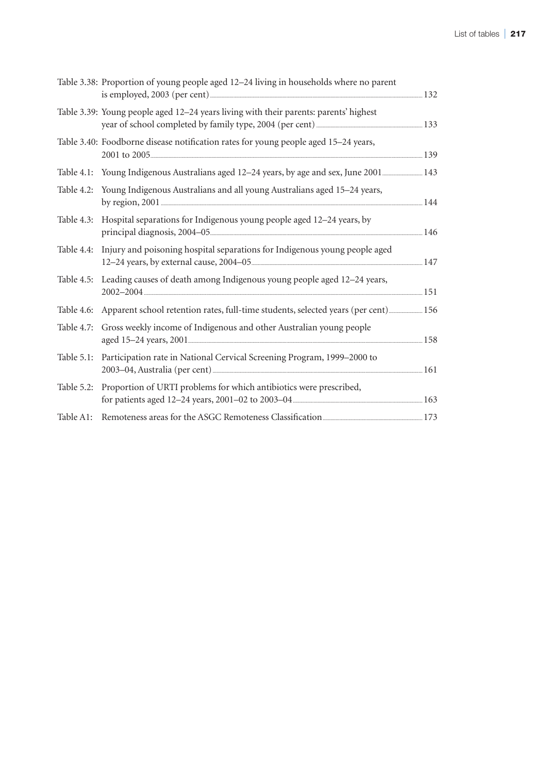|            | Table 3.38: Proportion of young people aged 12–24 living in households where no parent                    | .132  |
|------------|-----------------------------------------------------------------------------------------------------------|-------|
|            | Table 3.39: Young people aged 12–24 years living with their parents: parents' highest                     |       |
|            | Table 3.40: Foodborne disease notification rates for young people aged 15-24 years,                       |       |
| Table 4.1: | Young Indigenous Australians aged 12-24 years, by age and sex, June 2001 143                              |       |
|            | Table 4.2: Young Indigenous Australians and all young Australians aged 15–24 years,                       | 144   |
| Table 4.3: | Hospital separations for Indigenous young people aged 12-24 years, by                                     |       |
| Table 4.4: | Injury and poisoning hospital separations for Indigenous young people aged                                |       |
|            | Table 4.5: Leading causes of death among Indigenous young people aged 12–24 years,<br>$2002 - 2004$ $151$ |       |
| Table 4.6: | Apparent school retention rates, full-time students, selected years (per cent) 156                        |       |
| Table 4.7: | Gross weekly income of Indigenous and other Australian young people                                       |       |
| Table 5.1: | Participation rate in National Cervical Screening Program, 1999-2000 to                                   | . 161 |
| Table 5.2: | Proportion of URTI problems for which antibiotics were prescribed,                                        |       |
| Table A1:  |                                                                                                           |       |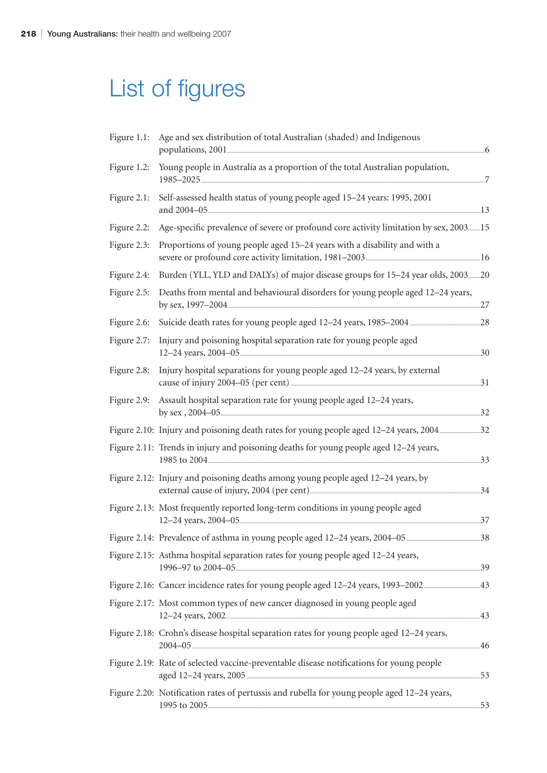# List of figures

| Figure 1.1: | Age and sex distribution of total Australian (shaded) and Indigenous                         |   |
|-------------|----------------------------------------------------------------------------------------------|---|
| Figure 1.2: | Young people in Australia as a proportion of the total Australian population,                | 7 |
| Figure 2.1: | Self-assessed health status of young people aged 15-24 years: 1995, 2001                     |   |
| Figure 2.2: | Age-specific prevalence of severe or profound core activity limitation by sex, 200315        |   |
| Figure 2.3: | Proportions of young people aged 15-24 years with a disability and with a                    |   |
| Figure 2.4: | Burden (YLL, YLD and DALYs) of major disease groups for 15-24 year olds, 200320              |   |
| Figure 2.5: | Deaths from mental and behavioural disorders for young people aged 12-24 years,              |   |
| Figure 2.6: |                                                                                              |   |
| Figure 2.7: | Injury and poisoning hospital separation rate for young people aged<br>.30                   |   |
| Figure 2.8: | Injury hospital separations for young people aged 12-24 years, by external<br>.31            |   |
| Figure 2.9: | Assault hospital separation rate for young people aged 12-24 years,                          |   |
|             |                                                                                              |   |
|             | Figure 2.11: Trends in injury and poisoning deaths for young people aged 12-24 years,<br>.33 |   |
|             | Figure 2.12: Injury and poisoning deaths among young people aged 12-24 years, by<br>.34      |   |
|             | Figure 2.13: Most frequently reported long-term conditions in young people aged<br>.37       |   |
|             | $\ldots$ 38                                                                                  |   |
|             | Figure 2.15: Asthma hospital separation rates for young people aged 12-24 years,             |   |
|             |                                                                                              |   |
|             | Figure 2.17: Most common types of new cancer diagnosed in young people aged                  |   |
|             | Figure 2.18: Crohn's disease hospital separation rates for young people aged 12-24 years,    |   |
|             | Figure 2.19: Rate of selected vaccine-preventable disease notifications for young people     |   |
|             | Figure 2.20: Notification rates of pertussis and rubella for young people aged 12–24 years,  |   |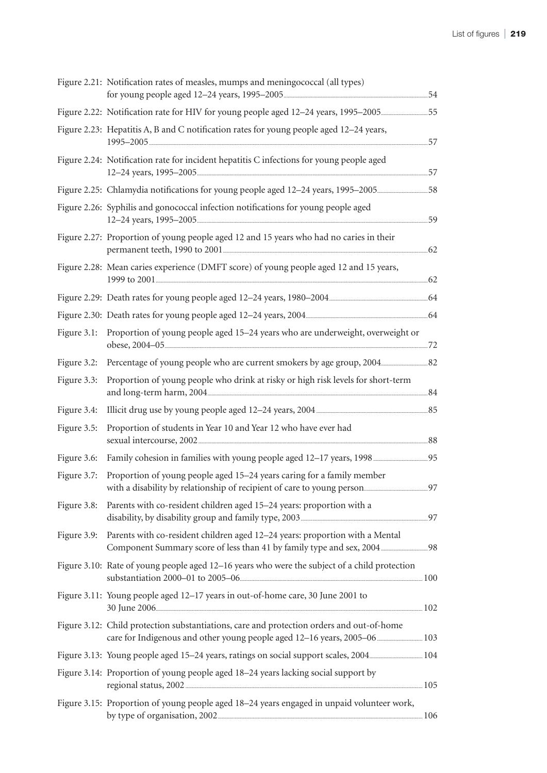|             | Figure 2.21: Notification rates of measles, mumps and meningococcal (all types)                                       |     |
|-------------|-----------------------------------------------------------------------------------------------------------------------|-----|
|             |                                                                                                                       |     |
|             | Figure 2.23: Hepatitis A, B and C notification rates for young people aged 12–24 years,                               | .57 |
|             | Figure 2.24: Notification rate for incident hepatitis C infections for young people aged                              |     |
|             |                                                                                                                       |     |
|             | Figure 2.26: Syphilis and gonococcal infection notifications for young people aged                                    |     |
|             | Figure 2.27: Proportion of young people aged 12 and 15 years who had no caries in their                               |     |
|             | Figure 2.28: Mean caries experience (DMFT score) of young people aged 12 and 15 years,                                |     |
|             |                                                                                                                       |     |
|             |                                                                                                                       |     |
|             | Figure 3.1: Proportion of young people aged 15–24 years who are underweight, overweight or                            |     |
|             |                                                                                                                       |     |
| Figure 3.3: | Proportion of young people who drink at risky or high risk levels for short-term                                      |     |
| Figure 3.4: |                                                                                                                       |     |
| Figure 3.5: | Proportion of students in Year 10 and Year 12 who have ever had                                                       |     |
| Figure 3.6: |                                                                                                                       |     |
| Figure 3.7: | Proportion of young people aged 15–24 years caring for a family member                                                | 97  |
|             | Figure 3.8: Parents with co-resident children aged 15-24 years: proportion with a                                     |     |
| Figure 3.9: | Parents with co-resident children aged 12-24 years: proportion with a Mental                                          |     |
|             | Figure 3.10: Rate of young people aged 12–16 years who were the subject of a child protection                         |     |
|             | Figure 3.11: Young people aged 12-17 years in out-of-home care, 30 June 2001 to<br>$30 \text{ June } 2006 \ldots 102$ |     |
|             | Figure 3.12: Child protection substantiations, care and protection orders and out-of-home                             |     |
|             |                                                                                                                       |     |
|             | Figure 3.14: Proportion of young people aged 18–24 years lacking social support by                                    |     |
|             | Figure 3.15: Proportion of young people aged 18-24 years engaged in unpaid volunteer work,                            |     |